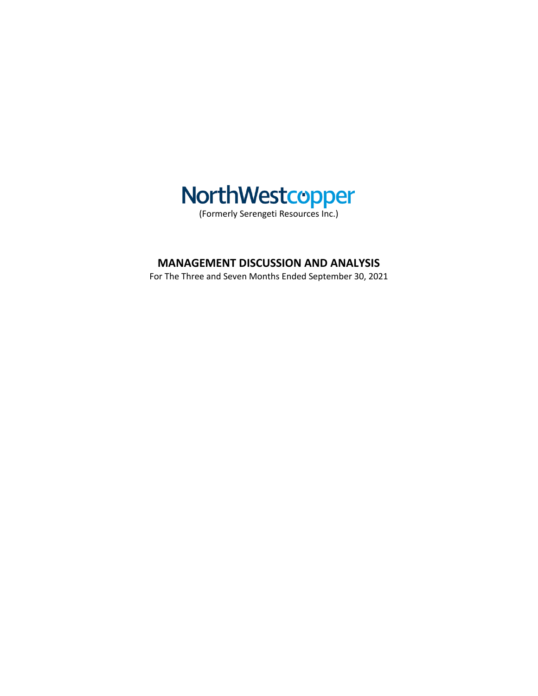

# **MANAGEMENT DISCUSSION AND ANALYSIS**

For The Three and Seven Months Ended September 30, 2021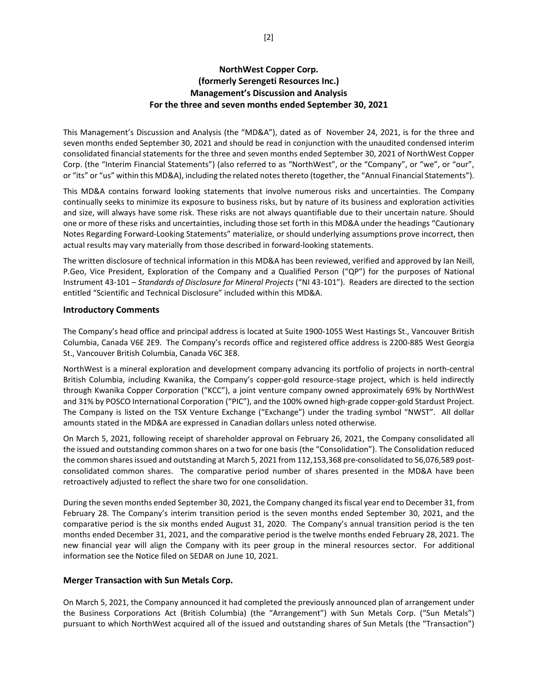# **NorthWest Copper Corp. (formerly Serengeti Resources Inc.) Management's Discussion and Analysis For the three and seven months ended September 30, 2021**

This Management's Discussion and Analysis (the "MD&A"), dated as of November 24, 2021, is for the three and seven months ended September 30, 2021 and should be read in conjunction with the unaudited condensed interim consolidated financial statements for the three and seven months ended September 30, 2021 of NorthWest Copper Corp. (the "Interim Financial Statements") (also referred to as "NorthWest", or the "Company", or "we", or "our", or "its" or "us" within this MD&A), including the related notes thereto (together, the "Annual Financial Statements").

This MD&A contains forward looking statements that involve numerous risks and uncertainties. The Company continually seeks to minimize its exposure to business risks, but by nature of its business and exploration activities and size, will always have some risk. These risks are not always quantifiable due to their uncertain nature. Should one or more of these risks and uncertainties, including those set forth in this MD&A under the headings "Cautionary Notes Regarding Forward-Looking Statements" materialize, or should underlying assumptions prove incorrect, then actual results may vary materially from those described in forward-looking statements.

The written disclosure of technical information in this MD&A has been reviewed, verified and approved by Ian Neill, P.Geo, Vice President, Exploration of the Company and a Qualified Person ("QP") for the purposes of National Instrument 43-101 – *Standards of Disclosure for Mineral Projects* ("NI 43-101"). Readers are directed to the section entitled "Scientific and Technical Disclosure" included within this MD&A.

#### **Introductory Comments**

The Company's head office and principal address is located at Suite 1900-1055 West Hastings St., Vancouver British Columbia, Canada V6E 2E9. The Company's records office and registered office address is 2200-885 West Georgia St., Vancouver British Columbia, Canada V6C 3E8.

NorthWest is a mineral exploration and development company advancing its portfolio of projects in north-central British Columbia, including Kwanika, the Company's copper-gold resource-stage project, which is held indirectly through Kwanika Copper Corporation ("KCC"), a joint venture company owned approximately 69% by NorthWest and 31% by POSCO International Corporation ("PIC"), and the 100% owned high-grade copper-gold Stardust Project. The Company is listed on the TSX Venture Exchange ("Exchange") under the trading symbol "NWST". All dollar amounts stated in the MD&A are expressed in Canadian dollars unless noted otherwise.

On March 5, 2021, following receipt of shareholder approval on February 26, 2021, the Company consolidated all the issued and outstanding common shares on a two for one basis (the "Consolidation"). The Consolidation reduced the common shares issued and outstanding at March 5, 2021 from 112,153,368 pre-consolidated to 56,076,589 postconsolidated common shares. The comparative period number of shares presented in the MD&A have been retroactively adjusted to reflect the share two for one consolidation.

During the seven months ended September 30, 2021, the Company changed its fiscal year end to December 31, from February 28. The Company's interim transition period is the seven months ended September 30, 2021, and the comparative period is the six months ended August 31, 2020. The Company's annual transition period is the ten months ended December 31, 2021, and the comparative period is the twelve months ended February 28, 2021. The new financial year will align the Company with its peer group in the mineral resources sector. For additional information see the Notice filed on SEDAR on June 10, 2021.

### **Merger Transaction with Sun Metals Corp.**

On March 5, 2021, the Company announced it had completed the previously announced plan of arrangement under the Business Corporations Act (British Columbia) (the "Arrangement") with Sun Metals Corp. ("Sun Metals") pursuant to which NorthWest acquired all of the issued and outstanding shares of Sun Metals (the "Transaction")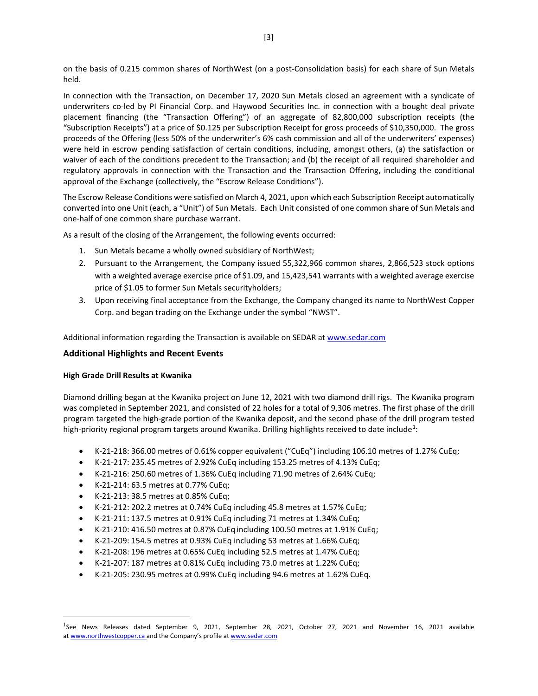on the basis of 0.215 common shares of NorthWest (on a post-Consolidation basis) for each share of Sun Metals held.

In connection with the Transaction, on December 17, 2020 Sun Metals closed an agreement with a syndicate of underwriters co-led by PI Financial Corp. and Haywood Securities Inc. in connection with a bought deal private placement financing (the "Transaction Offering") of an aggregate of 82,800,000 subscription receipts (the "Subscription Receipts") at a price of \$0.125 per Subscription Receipt for gross proceeds of \$10,350,000. The gross proceeds of the Offering (less 50% of the underwriter's 6% cash commission and all of the underwriters' expenses) were held in escrow pending satisfaction of certain conditions, including, amongst others, (a) the satisfaction or waiver of each of the conditions precedent to the Transaction; and (b) the receipt of all required shareholder and regulatory approvals in connection with the Transaction and the Transaction Offering, including the conditional approval of the Exchange (collectively, the "Escrow Release Conditions").

The Escrow Release Conditions were satisfied on March 4, 2021, upon which each Subscription Receipt automatically converted into one Unit (each, a "Unit") of Sun Metals. Each Unit consisted of one common share of Sun Metals and one-half of one common share purchase warrant.

As a result of the closing of the Arrangement, the following events occurred:

- 1. Sun Metals became a wholly owned subsidiary of NorthWest;
- 2. Pursuant to the Arrangement, the Company issued 55,322,966 common shares, 2,866,523 stock options with a weighted average exercise price of \$1.09, and 15,423,541 warrants with a weighted average exercise price of \$1.05 to former Sun Metals securityholders;
- 3. Upon receiving final acceptance from the Exchange, the Company changed its name to NorthWest Copper Corp. and began trading on the Exchange under the symbol "NWST".

Additional information regarding the Transaction is available on SEDAR a[t www.sedar.com](http://www.sedar.com/)

### **Additional Highlights and Recent Events**

#### **High Grade Drill Results at Kwanika**

Diamond drilling began at the Kwanika project on June 12, 2021 with two diamond drill rigs. The Kwanika program was completed in September 2021, and consisted of 22 holes for a total of 9,306 metres. The first phase of the drill program targeted the high-grade portion of the Kwanika deposit, and the second phase of the drill program tested high-priority regional program targets around Kwanika. Drilling highlights received to date include<sup>[1](#page-2-0)</sup>:

- K-21-218: 366.00 metres of 0.61% copper equivalent ("CuEq") including 106.10 metres of 1.27% CuEq;
- K-21-217: 235.45 metres of 2.92% CuEq including 153.25 metres of 4.13% CuEq;
- K-21-216: 250.60 metres of 1.36% CuEq including 71.90 metres of 2.64% CuEq;
- K-21-214: 63.5 metres at 0.77% CuEq;
- K-21-213: 38.5 metres at 0.85% CuEq;
- K-21-212: 202.2 metres at 0.74% CuEq including 45.8 metres at 1.57% CuEq;
- K-21-211: 137.5 metres at 0.91% CuEq including 71 metres at 1.34% CuEq;
- K-21-210: 416.50 metres at 0.87% CuEq including 100.50 metres at 1.91% CuEq;
- K-21-209: 154.5 metres at 0.93% CuEq including 53 metres at 1.66% CuEq;
- K-21-208: 196 metres at 0.65% CuEq including 52.5 metres at 1.47% CuEq;
- K-21-207: 187 metres at 0.81% CuEq including 73.0 metres at 1.22% CuEq;
- K-21-205: 230.95 metres at 0.99% CuEq including 94.6 metres at 1.62% CuEq.

<span id="page-2-0"></span><sup>&</sup>lt;sup>1</sup>See News Releases dated September 9, 2021, September 28, 2021, October 27, 2021 and November 16, 2021 available at [www.northwestcopper.ca](http://www.northwestcopper.ca%C2%A0) and the Company's profile at [www.sedar.com](http://www.sedar.com/)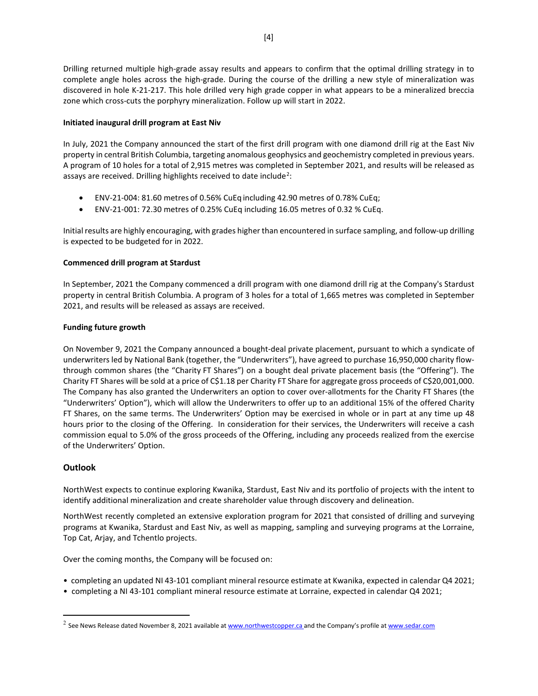Drilling returned multiple high-grade assay results and appears to confirm that the optimal drilling strategy in to complete angle holes across the high-grade. During the course of the drilling a new style of mineralization was discovered in hole K-21-217. This hole drilled very high grade copper in what appears to be a mineralized breccia zone which cross-cuts the porphyry mineralization. Follow up will start in 2022.

### **Initiated inaugural drill program at East Niv**

In July, 2021 the Company announced the start of the first drill program with one diamond drill rig at the East Niv property in central British Columbia, targeting anomalous geophysics and geochemistry completed in previous years. A program of 10 holes for a total of 2,915 metres was completed in September 2021, and results will be released as assays are received. Drilling highlights received to date include<sup>[2](#page-3-0)</sup>:

- ENV-21-004: 81.60 metres of 0.56% CuEq including 42.90 metres of 0.78% CuEq;
- ENV-21-001: 72.30 metres of 0.25% CuEq including 16.05 metres of 0.32 % CuEq.

Initial results are highly encouraging, with grades higher than encountered in surface sampling, and follow-up drilling is expected to be budgeted for in 2022.

#### **Commenced drill program at Stardust**

In September, 2021 the Company commenced a drill program with one diamond drill rig at the Company's Stardust property in central British Columbia. A program of 3 holes for a total of 1,665 metres was completed in September 2021, and results will be released as assays are received.

#### **Funding future growth**

On November 9, 2021 the Company announced a bought-deal private placement, pursuant to which a syndicate of underwriters led by National Bank (together, the "Underwriters"), have agreed to purchase 16,950,000 charity flowthrough common shares (the "Charity FT Shares") on a bought deal private placement basis (the "Offering"). The Charity FT Shares will be sold at a price of C\$1.18 per Charity FT Share for aggregate gross proceeds of C\$20,001,000. The Company has also granted the Underwriters an option to cover over-allotments for the Charity FT Shares (the "Underwriters' Option"), which will allow the Underwriters to offer up to an additional 15% of the offered Charity FT Shares, on the same terms. The Underwriters' Option may be exercised in whole or in part at any time up 48 hours prior to the closing of the Offering. In consideration for their services, the Underwriters will receive a cash commission equal to 5.0% of the gross proceeds of the Offering, including any proceeds realized from the exercise of the Underwriters' Option.

### **Outlook**

NorthWest expects to continue exploring Kwanika, Stardust, East Niv and its portfolio of projects with the intent to identify additional mineralization and create shareholder value through discovery and delineation.

NorthWest recently completed an extensive exploration program for 2021 that consisted of drilling and surveying programs at Kwanika, Stardust and East Niv, as well as mapping, sampling and surveying programs at the Lorraine, Top Cat, Arjay, and Tchentlo projects.

Over the coming months, the Company will be focused on:

- completing an updated NI 43-101 compliant mineral resource estimate at Kwanika, expected in calendar Q4 2021;
- completing a NI 43-101 compliant mineral resource estimate at Lorraine, expected in calendar Q4 2021;

<span id="page-3-0"></span> $^2$  See News Release dated November 8, 2021 available at [www.northwestcopper.ca](http://www.northwestcopper.ca%C2%A0) and the Company's profile at [www.sedar.com](http://www.sedar.com/)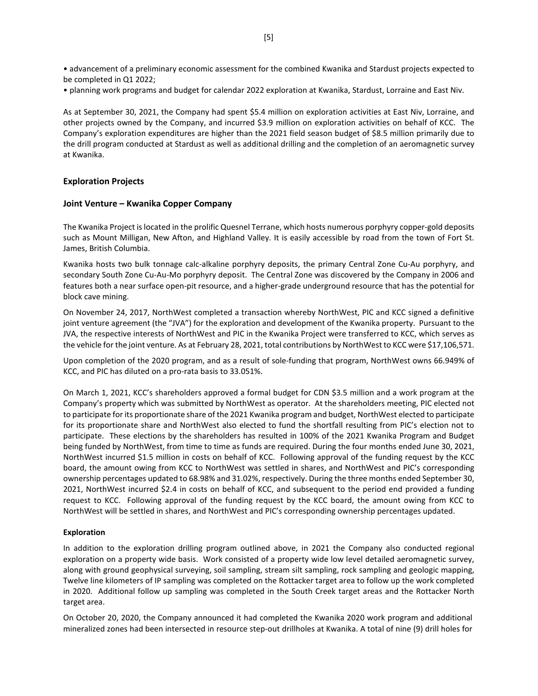• advancement of a preliminary economic assessment for the combined Kwanika and Stardust projects expected to be completed in Q1 2022;

• planning work programs and budget for calendar 2022 exploration at Kwanika, Stardust, Lorraine and East Niv.

As at September 30, 2021, the Company had spent \$5.4 million on exploration activities at East Niv, Lorraine, and other projects owned by the Company, and incurred \$3.9 million on exploration activities on behalf of KCC. The Company's exploration expenditures are higher than the 2021 field season budget of \$8.5 million primarily due to the drill program conducted at Stardust as well as additional drilling and the completion of an aeromagnetic survey at Kwanika.

#### **Exploration Projects**

#### **Joint Venture – Kwanika Copper Company**

The Kwanika Project is located in the prolific Quesnel Terrane, which hosts numerous porphyry copper-gold deposits such as Mount Milligan, New Afton, and Highland Valley. It is easily accessible by road from the town of Fort St. James, British Columbia.

Kwanika hosts two bulk tonnage calc-alkaline porphyry deposits, the primary Central Zone Cu-Au porphyry, and secondary South Zone Cu-Au-Mo porphyry deposit. The Central Zone was discovered by the Company in 2006 and features both a near surface open-pit resource, and a higher-grade underground resource that has the potential for block cave mining.

On November 24, 2017, NorthWest completed a transaction whereby NorthWest, PIC and KCC signed a definitive joint venture agreement (the "JVA") for the exploration and development of the Kwanika property. Pursuant to the JVA, the respective interests of NorthWest and PIC in the Kwanika Project were transferred to KCC, which serves as the vehicle for the joint venture. As at February 28, 2021, total contributions by NorthWest to KCC were \$17,106,571.

Upon completion of the 2020 program, and as a result of sole-funding that program, NorthWest owns 66.949% of KCC, and PIC has diluted on a pro-rata basis to 33.051%.

On March 1, 2021, KCC's shareholders approved a formal budget for CDN \$3.5 million and a work program at the Company's property which was submitted by NorthWest as operator. At the shareholders meeting, PIC elected not to participate for its proportionate share of the 2021 Kwanika program and budget, NorthWest elected to participate for its proportionate share and NorthWest also elected to fund the shortfall resulting from PIC's election not to participate. These elections by the shareholders has resulted in 100% of the 2021 Kwanika Program and Budget being funded by NorthWest, from time to time as funds are required. During the four months ended June 30, 2021, NorthWest incurred \$1.5 million in costs on behalf of KCC. Following approval of the funding request by the KCC board, the amount owing from KCC to NorthWest was settled in shares, and NorthWest and PIC's corresponding ownership percentages updated to 68.98% and 31.02%, respectively. During the three months ended September 30, 2021, NorthWest incurred \$2.4 in costs on behalf of KCC, and subsequent to the period end provided a funding request to KCC. Following approval of the funding request by the KCC board, the amount owing from KCC to NorthWest will be settled in shares, and NorthWest and PIC's corresponding ownership percentages updated.

#### **Exploration**

In addition to the exploration drilling program outlined above, in 2021 the Company also conducted regional exploration on a property wide basis. Work consisted of a property wide low level detailed aeromagnetic survey, along with ground geophysical surveying, soil sampling, stream silt sampling, rock sampling and geologic mapping, Twelve line kilometers of IP sampling was completed on the Rottacker target area to follow up the work completed in 2020. Additional follow up sampling was completed in the South Creek target areas and the Rottacker North target area.

On October 20, 2020, the Company announced it had completed the Kwanika 2020 work program and additional mineralized zones had been intersected in resource step-out drillholes at Kwanika. A total of nine (9) drill holes for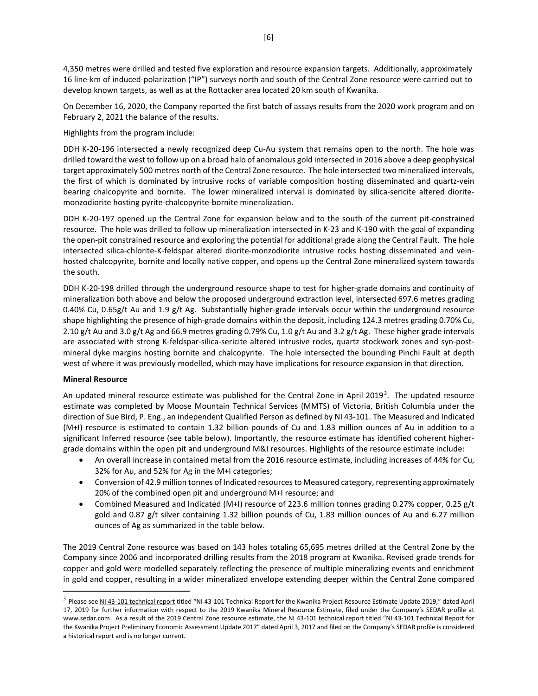[6]

4,350 metres were drilled and tested five exploration and resource expansion targets. Additionally, approximately 16 line-km of induced-polarization ("IP") surveys north and south of the Central Zone resource were carried out to develop known targets, as well as at the Rottacker area located 20 km south of Kwanika.

On December 16, 2020, the Company reported the first batch of assays results from the 2020 work program and on February 2, 2021 the balance of the results.

Highlights from the program include:

DDH K-20-196 intersected a newly recognized deep Cu-Au system that remains open to the north. The hole was drilled toward the west to follow up on a broad halo of anomalous gold intersected in 2016 above a deep geophysical target approximately 500 metres north of the Central Zone resource. The hole intersected two mineralized intervals, the first of which is dominated by intrusive rocks of variable composition hosting disseminated and quartz-vein bearing chalcopyrite and bornite. The lower mineralized interval is dominated by silica-sericite altered dioritemonzodiorite hosting pyrite-chalcopyrite-bornite mineralization.

DDH K-20-197 opened up the Central Zone for expansion below and to the south of the current pit-constrained resource. The hole was drilled to follow up mineralization intersected in K-23 and K-190 with the goal of expanding the open-pit constrained resource and exploring the potential for additional grade along the Central Fault. The hole intersected silica-chlorite-K-feldspar altered diorite-monzodiorite intrusive rocks hosting disseminated and veinhosted chalcopyrite, bornite and locally native copper, and opens up the Central Zone mineralized system towards the south.

DDH K-20-198 drilled through the underground resource shape to test for higher-grade domains and continuity of mineralization both above and below the proposed underground extraction level, intersected 697.6 metres grading 0.40% Cu, 0.65g/t Au and 1.9 g/t Ag. Substantially higher-grade intervals occur within the underground resource shape highlighting the presence of high-grade domains within the deposit, including 124.3 metres grading 0.70% Cu, 2.10 g/t Au and 3.0 g/t Ag and 66.9 metres grading 0.79% Cu, 1.0 g/t Au and 3.2 g/t Ag. These higher grade intervals are associated with strong K-feldspar-silica-sericite altered intrusive rocks, quartz stockwork zones and syn-postmineral dyke margins hosting bornite and chalcopyrite. The hole intersected the bounding Pinchi Fault at depth west of where it was previously modelled, which may have implications for resource expansion in that direction.

#### **Mineral Resource**

An updated mineral resource estimate was published for the Central Zone in April 2019<sup>[3](#page-5-0)</sup>. The updated resource estimate was completed by Moose Mountain Technical Services (MMTS) of Victoria, British Columbia under the direction of Sue Bird, P. Eng., an independent Qualified Person as defined by NI 43-101. The Measured and Indicated (M+I) resource is estimated to contain 1.32 billion pounds of Cu and 1.83 million ounces of Au in addition to a significant Inferred resource (see table below). Importantly, the resource estimate has identified coherent highergrade domains within the open pit and underground M&I resources. Highlights of the resource estimate include:

- An overall increase in contained metal from the 2016 resource estimate, including increases of 44% for Cu, 32% for Au, and 52% for Ag in the M+I categories;
- Conversion of 42.9 million tonnes of Indicated resources to Measured category, representing approximately 20% of the combined open pit and underground M+I resource; and
- Combined Measured and Indicated (M+I) resource of 223.6 million tonnes grading 0.27% copper, 0.25 g/t gold and 0.87  $g/t$  silver containing 1.32 billion pounds of Cu, 1.83 million ounces of Au and 6.27 million ounces of Ag as summarized in the table below.

The 2019 Central Zone resource was based on 143 holes totaling 65,695 metres drilled at the Central Zone by the Company since 2006 and incorporated drilling results from the 2018 program at Kwanika. Revised grade trends for copper and gold were modelled separately reflecting the presence of multiple mineralizing events and enrichment in gold and copper, resulting in a wider mineralized envelope extending deeper within the Central Zone compared

<span id="page-5-0"></span> $3$  Please se[e NI 43-101 technical report](https://serengetiresources.com/site/assets/files/1510/ni43-101-serengetikwanika-rev-final-04172019.pdf) titled "NI 43-101 Technical Report for the Kwanika Project Resource Estimate Update 2019," dated April 17, 2019 for further information with respect to the 2019 Kwanika Mineral Resource Estimate, filed under the Company's SEDAR profile at [www.sedar.com.](http://www.sedar.com/) As a result of the 2019 Central Zone resource estimate, the NI 43-101 technical report titled "NI 43-101 Technical Report for the Kwanika Project Preliminary Economic Assessment Update 2017" dated April 3, 2017 and filed on the Company's SEDAR profile is considered a historical report and is no longer current.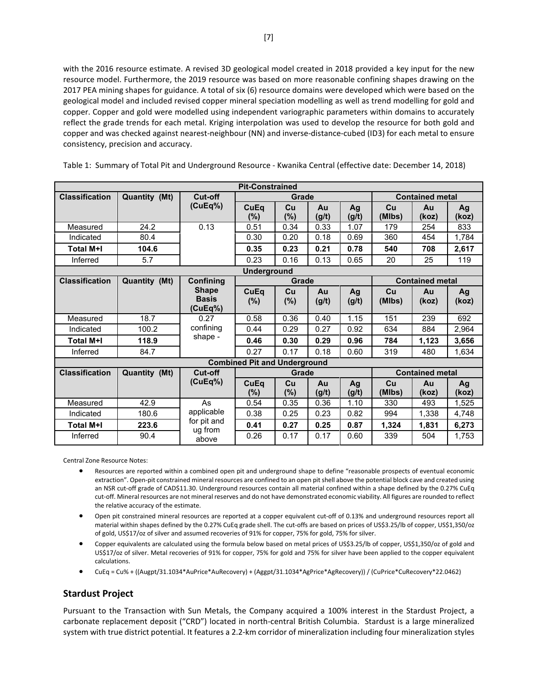with the 2016 resource estimate. A revised 3D geological model created in 2018 provided a key input for the new resource model. Furthermore, the 2019 resource was based on more reasonable confining shapes drawing on the 2017 PEA mining shapes for guidance. A total of six (6) resource domains were developed which were based on the geological model and included revised copper mineral speciation modelling as well as trend modelling for gold and copper. Copper and gold were modelled using independent variographic parameters within domains to accurately reflect the grade trends for each metal. Kriging interpolation was used to develop the resource for both gold and copper and was checked against nearest-neighbour (NN) and inverse-distance-cubed (ID3) for each metal to ensure consistency, precision and accuracy.

Table 1: Summary of Total Pit and Underground Resource - Kwanika Central (effective date: December 14, 2018)

| <b>Pit-Constrained</b> |                      |                                         |                                     |              |             |             |                        |                        |             |
|------------------------|----------------------|-----------------------------------------|-------------------------------------|--------------|-------------|-------------|------------------------|------------------------|-------------|
| <b>Classification</b>  | <b>Quantity (Mt)</b> | Cut-off                                 |                                     | Grade        |             |             |                        | <b>Contained metal</b> |             |
|                        |                      | (CuEq%)                                 | CuEq<br>(%)                         | Cu<br>(%)    | Au<br>(g/t) | Ag<br>(g/t) | cu<br>(MIbs)           | Au<br>(koz)            | Ag<br>(koz) |
| Measured               | 24.2                 | 0.13                                    | 0.51                                | 0.34         | 0.33        | 1.07        | 179                    | 254                    | 833         |
| Indicated              | 80.4                 |                                         | 0.30                                | 0.20         | 0.18        | 0.69        | 360                    | 454                    | 1,784       |
| Total M+I              | 104.6                |                                         | 0.35                                | 0.23         | 0.21        | 0.78        | 540                    | 708                    | 2,617       |
| Inferred               | 5.7                  |                                         | 0.23                                | 0.16         | 0.13        | 0.65        | 20                     | 25                     | 119         |
| <b>Underground</b>     |                      |                                         |                                     |              |             |             |                        |                        |             |
| <b>Classification</b>  | Quantity (Mt)        | <b>Confining</b>                        |                                     | Grade        |             |             | <b>Contained metal</b> |                        |             |
|                        |                      | <b>Shape</b><br><b>Basis</b><br>(CuEq%) | CuEq<br>(%)                         | Cu<br>(%)    | Au<br>(g/t) | Ag<br>(g/t) | Cu<br>(MIbs)           | Au<br>(koz)            | Ag<br>(koz) |
| Measured               | 18.7                 | 0.27                                    | 0.58                                | 0.36         | 0.40        | 1.15        | 151                    | 239                    | 692         |
| Indicated              | 100.2                | confining                               | 0.44                                | 0.29         | 0.27        | 0.92        | 634                    | 884                    | 2,964       |
| <b>Total M+I</b>       | 118.9                | shape -                                 | 0.46                                | 0.30         | 0.29        | 0.96        | 784                    | 1,123                  | 3,656       |
| Inferred               | 84.7                 |                                         | 0.27                                | 0.17         | 0.18        | 0.60        | 319                    | 480                    | 1,634       |
|                        |                      |                                         | <b>Combined Pit and Underground</b> |              |             |             |                        |                        |             |
| <b>Classification</b>  | Quantity (Mt)        | Cut-off                                 |                                     | Grade        |             |             |                        | <b>Contained metal</b> |             |
|                        |                      | (CuEq%)                                 | CuEq<br>$(\%)$                      | Cu<br>$(\%)$ | Au<br>(g/t) | Aq<br>(g/t) | cu<br>(MIbs)           | Au<br>(koz)            | Ag<br>(koz) |
| Measured               | 42.9                 | As                                      | 0.54                                | 0.35         | 0.36        | 1.10        | 330                    | 493                    | 1,525       |
| Indicated              | 180.6                | applicable                              | 0.38                                | 0.25         | 0.23        | 0.82        | 994                    | 1,338                  | 4,748       |
| <b>Total M+I</b>       | 223.6                | for pit and<br>ug from                  | 0.41                                | 0.27         | 0.25        | 0.87        | 1,324                  | 1,831                  | 6,273       |
| Inferred               | 90.4                 | above                                   | 0.26                                | 0.17         | 0.17        | 0.60        | 339                    | 504                    | 1,753       |

Central Zone Resource Notes:

- Resources are reported within a combined open pit and underground shape to define "reasonable prospects of eventual economic extraction". Open-pit constrained mineral resources are confined to an open pit shell above the potential block cave and created using an NSR cut-off grade of CAD\$11.30. Underground resources contain all material confined within a shape defined by the 0.27% CuEq cut-off. Mineral resources are not mineral reserves and do not have demonstrated economic viability. All figures are rounded to reflect the relative accuracy of the estimate.
- Open pit constrained mineral resources are reported at a copper equivalent cut-off of 0.13% and underground resources report all material within shapes defined by the 0.27% CuEq grade shell. The cut-offs are based on prices of US\$3.25/lb of copper, US\$1,350/oz of gold, US\$17/oz of silver and assumed recoveries of 91% for copper, 75% for gold, 75% for silver.
- Copper equivalents are calculated using the formula below based on metal prices of US\$3.25/lb of copper, US\$1,350/oz of gold and US\$17/oz of silver. Metal recoveries of 91% for copper, 75% for gold and 75% for silver have been applied to the copper equivalent calculations.
- CuEq = Cu% + ((Augpt/31.1034\*AuPrice\*AuRecovery) + (Aggpt/31.1034\*AgPrice\*AgRecovery)) / (CuPrice\*CuRecovery\*22.0462)

# **Stardust Project**

Pursuant to the Transaction with Sun Metals, the Company acquired a 100% interest in the Stardust Project, a carbonate replacement deposit ("CRD") located in north-central British Columbia. Stardust is a large mineralized system with true district potential. It features a 2.2-km corridor of mineralization including four mineralization styles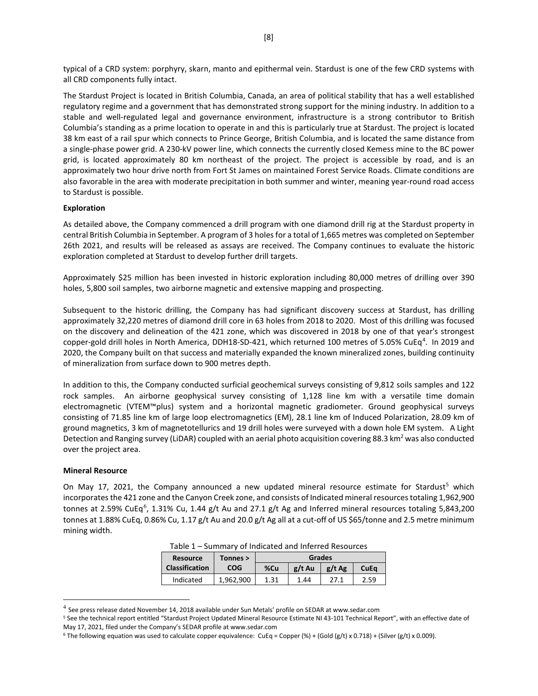typical of a CRD system: porphyry, skarn, manto and epithermal vein. Stardust is one of the few CRD systems with all CRD components fully intact.

The Stardust Project is located in British Columbia, Canada, an area of political stability that has a well established regulatory regime and a government that has demonstrated strong support for the mining industry. In addition to a stable and well-regulated legal and governance environment, infrastructure is a strong contributor to British Columbia's standing as a prime location to operate in and this is particularly true at Stardust. The project is located 38 km east of a rail spur which connects to Prince George, British Columbia, and is located the same distance from a single-phase power grid. A 230-kV power line, which connects the currently closed Kemess mine to the BC power grid, is located approximately 80 km northeast of the project. The project is accessible by road, and is an approximately two hour drive north from Fort St James on maintained Forest Service Roads. Climate conditions are also favorable in the area with moderate precipitation in both summer and winter, meaning year-round road access to Stardust is possible.

#### **Exploration**

As detailed above, the Company commenced a drill program with one diamond drill rig at the Stardust property in central British Columbia in September. A program of 3 holes for a total of 1,665 metres was completed on September 26th 2021, and results will be released as assays are received. The Company continues to evaluate the historic exploration completed at Stardust to develop further drill targets.

Approximately \$25 million has been invested in historic exploration including 80,000 metres of drilling over 390 holes, 5,800 soil samples, two airborne magnetic and extensive mapping and prospecting.

Subsequent to the historic drilling, the Company has had significant discovery success at Stardust, has drilling approximately 32,220 metres of diamond drill core in 63 holes from 2018 to 2020. Most of this drilling was focused on the discovery and delineation of the 421 zone, which was discovered in 2018 by one of that year's strongest copper-gold drill holes in North America, DDH18-SD-[4](#page-7-0)21, which returned 100 metres of 5.05% CuEq<sup>4</sup>. In 2019 and 2020, the Company built on that success and materially expanded the known mineralized zones, building continuity of mineralization from surface down to 900 metres depth.

In addition to this, the Company conducted surficial geochemical surveys consisting of 9,812 soils samples and 122 rock samples. An airborne geophysical survey consisting of 1,128 line km with a versatile time domain electromagnetic (VTEM™plus) system and a horizontal magnetic gradiometer. Ground geophysical surveys consisting of 71.85 line km of large loop electromagnetics (EM), 28.1 line km of Induced Polarization, 28.09 km of ground magnetics, 3 km of magnetotellurics and 19 drill holes were surveyed with a down hole EM system. A Light Detection and Ranging survey (LiDAR) coupled with an aerial photo acquisition covering 88.3 km<sup>2</sup> was also conducted over the project area.

#### **Mineral Resource**

On May 17, 2021, the Company announced a new updated mineral resource estimate for Stardust<sup>[5](#page-7-1)</sup> which incorporates the 421 zone and the Canyon Creek zone, and consists of Indicated mineral resources totaling 1,962,900 tonnes at 2.59% CuEq<sup>[6](#page-7-2)</sup>, 1.31% Cu, 1.44 g/t Au and 27.1 g/t Ag and Inferred mineral resources totaling 5,843,200 tonnes at 1.88% CuEq, 0.86% Cu, 1.17 g/t Au and 20.0 g/t Ag all at a cut-off of US \$65/tonne and 2.5 metre minimum mining width.

| <b>Resource</b>       | Tonnes > | Grades |          |          |      |  |  |
|-----------------------|----------|--------|----------|----------|------|--|--|
| <b>Classification</b> | COG      | %Cu    | $g/t$ Au | $g/t$ Ag | CuEa |  |  |

Indicated | 1,962,900 | 1.31 | 1.44 | 27.1 | 2.59

Table 1 – Summary of Indicated and Inferred Resources

<span id="page-7-0"></span><sup>4</sup> See press release dated November 14, 2018 available under Sun Metals' profile on SEDAR at www.sedar.com

<span id="page-7-1"></span><sup>&</sup>lt;sup>5</sup> See the technical report entitled "Stardust Project Updated Mineral Resource Estimate NI 43-101 Technical Report", with an effective date of May 17, 2021, filed under the Company's SEDAR profile a[t www.sedar.com](http://www.sedar.com/)

<span id="page-7-2"></span><sup>&</sup>lt;sup>6</sup> The following equation was used to calculate copper equivalence: CuEq = Copper (%) + (Gold (g/t) x 0.718) + (Silver (g/t) x 0.009).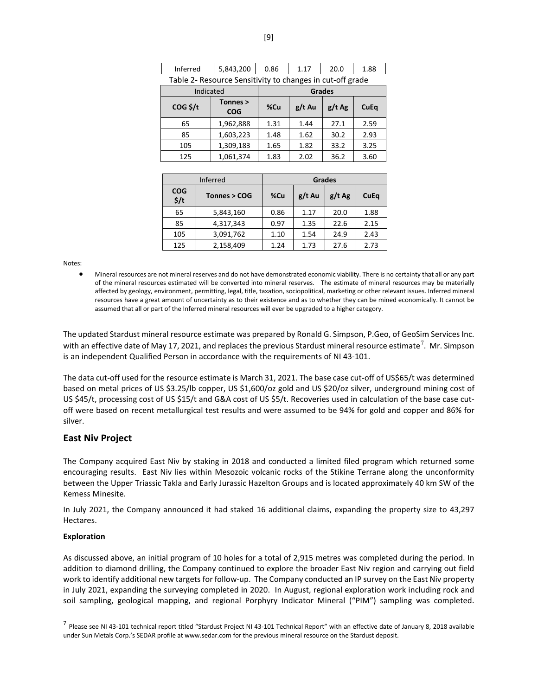| Table 2- Resource Seristivity to chariges in cut-on grade |                        |               |          |          |      |  |  |
|-----------------------------------------------------------|------------------------|---------------|----------|----------|------|--|--|
| Indicated                                                 |                        | <b>Grades</b> |          |          |      |  |  |
| $COG$ \$/t                                                | Tonnes ><br><b>COG</b> | %Cu           | $g/t$ Au | $g/t$ Ag | CuEq |  |  |
| 65                                                        | 1,962,888              | 1.31          | 1.44     | 27.1     | 2.59 |  |  |
| 85                                                        | 1,603,223              | 1.48          | 1.62     | 30.2     | 2.93 |  |  |
| 105                                                       | 1,309,183              | 1.65          | 1.82     | 33.2     | 3.25 |  |  |
| 125                                                       | 1,061,374              | 1.83          | 2.02     | 36.2     | 3.60 |  |  |

Inferred | 5,843,200 | 0.86 | 1.17 | 20.0 | 1.88 Table 2- Resource Sensitivity to changes in cut-off grade

|                             | Inferred     |      | <b>Grades</b> |          |      |
|-----------------------------|--------------|------|---------------|----------|------|
| <b>COG</b><br>$\frac{1}{2}$ | Tonnes > COG | %Cu  | $g/t$ Au      | $g/t$ Ag | CuEq |
| 65                          | 5,843,160    | 0.86 | 1.17          | 20.0     | 1.88 |
| 85                          | 4,317,343    | 0.97 | 1.35          | 22.6     | 2.15 |
| 105                         | 3,091,762    | 1.10 | 1.54          | 24.9     | 2.43 |
| 125                         | 2,158,409    | 1.24 | 1.73          | 27.6     | 2.73 |

Notes:

• Mineral resources are not mineral reserves and do not have demonstrated economic viability. There is no certainty that all or any part of the mineral resources estimated will be converted into mineral reserves. The estimate of mineral resources may be materially affected by geology, environment, permitting, legal, title, taxation, sociopolitical, marketing or other relevant issues. Inferred mineral resources have a great amount of uncertainty as to their existence and as to whether they can be mined economically. It cannot be assumed that all or part of the Inferred mineral resources will ever be upgraded to a higher category.

The updated Stardust mineral resource estimate was prepared by Ronald G. Simpson, P.Geo, of GeoSim Services Inc. with an effective date of May 1[7](#page-8-0), 2021, and replaces the previous Stardust mineral resource estimate<sup>7</sup>. Mr. Simpson is an independent Qualified Person in accordance with the requirements of NI 43-101.

The data cut-off used for the resource estimate is March 31, 2021. The base case cut-off of US\$65/t was determined based on metal prices of US \$3.25/lb copper, US \$1,600/oz gold and US \$20/oz silver, underground mining cost of US \$45/t, processing cost of US \$15/t and G&A cost of US \$5/t. Recoveries used in calculation of the base case cutoff were based on recent metallurgical test results and were assumed to be 94% for gold and copper and 86% for silver.

### **East Niv Project**

The Company acquired East Niv by staking in 2018 and conducted a limited filed program which returned some encouraging results. East Niv lies within Mesozoic volcanic rocks of the Stikine Terrane along the unconformity between the Upper Triassic Takla and Early Jurassic Hazelton Groups and is located approximately 40 km SW of the Kemess Minesite.

In July 2021, the Company announced it had staked 16 additional claims, expanding the property size to 43,297 Hectares.

#### **Exploration**

As discussed above, an initial program of 10 holes for a total of 2,915 metres was completed during the period. In addition to diamond drilling, the Company continued to explore the broader East Niv region and carrying out field work to identify additional new targets for follow-up. The Company conducted an IP survey on the East Niv property in July 2021, expanding the surveying completed in 2020. In August, regional exploration work including rock and soil sampling, geological mapping, and regional Porphyry Indicator Mineral ("PIM") sampling was completed.

<span id="page-8-0"></span> $<sup>7</sup>$  Please see NI 43-101 technical report titled "Stardust Project NI 43-101 Technical Report" with an effective date of January 8, 2018 available</sup> under Sun Metals Corp.'s SEDAR profile a[t www.sedar.com](http://www.sedar.com/) for the previous mineral resource on the Stardust deposit.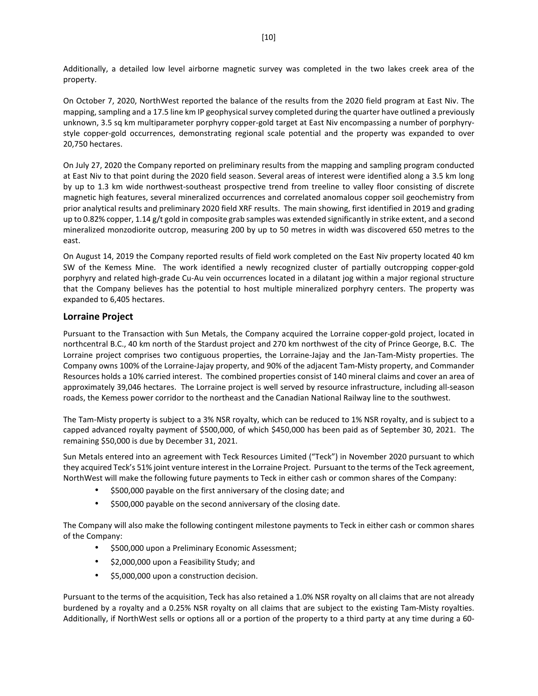Additionally, a detailed low level airborne magnetic survey was completed in the two lakes creek area of the property.

On October 7, 2020, NorthWest reported the balance of the results from the 2020 field program at East Niv. The mapping, sampling and a 17.5 line km IP geophysical survey completed during the quarter have outlined a previously unknown, 3.5 sq km multiparameter porphyry copper-gold target at East Niv encompassing a number of porphyrystyle copper-gold occurrences, demonstrating regional scale potential and the property was expanded to over 20,750 hectares.

On July 27, 2020 the Company reported on preliminary results from the mapping and sampling program conducted at East Niv to that point during the 2020 field season. Several areas of interest were identified along a 3.5 km long by up to 1.3 km wide northwest-southeast prospective trend from treeline to valley floor consisting of discrete magnetic high features, several mineralized occurrences and correlated anomalous copper soil geochemistry from prior analytical results and preliminary 2020 field XRF results. The main showing, first identified in 2019 and grading up to 0.82% copper, 1.14 g/t gold in composite grab samples was extended significantly in strike extent, and a second mineralized monzodiorite outcrop, measuring 200 by up to 50 metres in width was discovered 650 metres to the east.

On August 14, 2019 the Company reported results of field work completed on the East Niv property located 40 km SW of the Kemess Mine. The work identified a newly recognized cluster of partially outcropping copper-gold porphyry and related high-grade Cu-Au vein occurrences located in a dilatant jog within a major regional structure that the Company believes has the potential to host multiple mineralized porphyry centers. The property was expanded to 6,405 hectares.

# **Lorraine Project**

Pursuant to the Transaction with Sun Metals, the Company acquired the Lorraine copper-gold project, located in northcentral B.C., 40 km north of the Stardust project and 270 km northwest of the city of Prince George, B.C. The Lorraine project comprises two contiguous properties, the Lorraine-Jajay and the Jan-Tam-Misty properties. The Company owns 100% of the Lorraine-Jajay property, and 90% of the adjacent Tam-Misty property, and Commander Resources holds a 10% carried interest. The combined properties consist of 140 mineral claims and cover an area of approximately 39,046 hectares. The Lorraine project is well served by resource infrastructure, including all-season roads, the Kemess power corridor to the northeast and the Canadian National Railway line to the southwest.

The Tam-Misty property is subject to a 3% NSR royalty, which can be reduced to 1% NSR royalty, and is subject to a capped advanced royalty payment of \$500,000, of which \$450,000 has been paid as of September 30, 2021. The remaining \$50,000 is due by December 31, 2021.

Sun Metals entered into an agreement with Teck Resources Limited ("Teck") in November 2020 pursuant to which they acquired Teck's 51% joint venture interest in the Lorraine Project. Pursuant to the terms of the Teck agreement, NorthWest will make the following future payments to Teck in either cash or common shares of the Company:

- \$500,000 payable on the first anniversary of the closing date; and
- \$500,000 payable on the second anniversary of the closing date.

The Company will also make the following contingent milestone payments to Teck in either cash or common shares of the Company:

- \$500,000 upon a Preliminary Economic Assessment;
- \$2,000,000 upon a Feasibility Study; and
- \$5,000,000 upon a construction decision.

Pursuant to the terms of the acquisition, Teck has also retained a 1.0% NSR royalty on all claims that are not already burdened by a royalty and a 0.25% NSR royalty on all claims that are subject to the existing Tam-Misty royalties. Additionally, if NorthWest sells or options all or a portion of the property to a third party at any time during a 60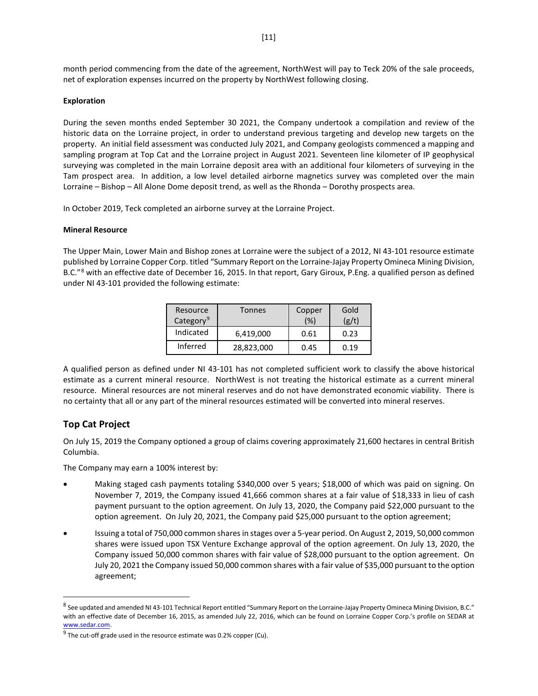month period commencing from the date of the agreement, NorthWest will pay to Teck 20% of the sale proceeds, net of exploration expenses incurred on the property by NorthWest following closing.

#### **Exploration**

During the seven months ended September 30 2021, the Company undertook a compilation and review of the historic data on the Lorraine project, in order to understand previous targeting and develop new targets on the property. An initial field assessment was conducted July 2021, and Company geologists commenced a mapping and sampling program at Top Cat and the Lorraine project in August 2021. Seventeen line kilometer of IP geophysical surveying was completed in the main Lorraine deposit area with an additional four kilometers of surveying in the Tam prospect area. In addition, a low level detailed airborne magnetics survey was completed over the main Lorraine – Bishop – All Alone Dome deposit trend, as well as the Rhonda – Dorothy prospects area.

In October 2019, Teck completed an airborne survey at the Lorraine Project.

#### **Mineral Resource**

The Upper Main, Lower Main and Bishop zones at Lorraine were the subject of a 2012, NI 43-101 resource estimate published by Lorraine Copper Corp. titled "Summary Report on the Lorraine-Jajay Property Omineca Mining Division, B.C."<sup>[8](#page-10-0)</sup> with an effective date of December 16, 2015. In that report, Gary Giroux, P.Eng. a qualified person as defined under NI 43-101 provided the following estimate:

| Resource<br>Category <sup>9</sup> | <b>Tonnes</b> | Copper<br>(%) | Gold<br>(g/t) |
|-----------------------------------|---------------|---------------|---------------|
| Indicated                         | 6,419,000     | 0.61          | 0.23          |
| Inferred                          | 28,823,000    | 0.45          | በ 19          |

A qualified person as defined under NI 43-101 has not completed sufficient work to classify the above historical estimate as a current mineral resource. NorthWest is not treating the historical estimate as a current mineral resource. Mineral resources are not mineral reserves and do not have demonstrated economic viability. There is no certainty that all or any part of the mineral resources estimated will be converted into mineral reserves.

# **Top Cat Project**

On July 15, 2019 the Company optioned a group of claims covering approximately 21,600 hectares in central British Columbia.

The Company may earn a 100% interest by:

- Making staged cash payments totaling \$340,000 over 5 years; \$18,000 of which was paid on signing. On November 7, 2019, the Company issued 41,666 common shares at a fair value of \$18,333 in lieu of cash payment pursuant to the option agreement. On July 13, 2020, the Company paid \$22,000 pursuant to the option agreement. On July 20, 2021, the Company paid \$25,000 pursuant to the option agreement;
- Issuing a total of 750,000 common shares in stages over a 5-year period. On August 2, 2019, 50,000 common shares were issued upon TSX Venture Exchange approval of the option agreement. On July 13, 2020, the Company issued 50,000 common shares with fair value of \$28,000 pursuant to the option agreement. On July 20, 2021 the Company issued 50,000 common shares with a fair value of \$35,000 pursuant to the option agreement;

<span id="page-10-0"></span><sup>8</sup> See updated and amended NI 43-101 Technical Report entitled "Summary Report on the Lorraine-Jajay Property Omineca Mining Division, B.C." with an effective date of December 16, 2015, as amended July 22, 2016, which can be found on Lorraine Copper Corp.'s profile on SEDAR at www.sedar.com.

<span id="page-10-1"></span> $9$  The cut-off grade used in the resource estimate was 0.2% copper (Cu).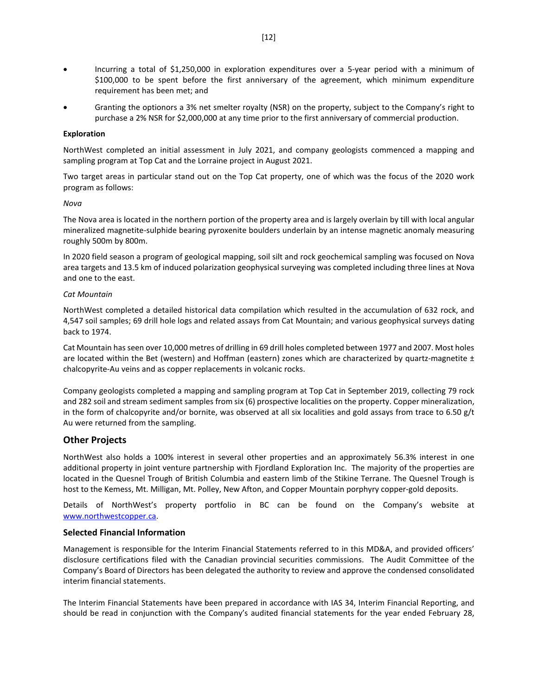- Incurring a total of \$1,250,000 in exploration expenditures over a 5-year period with a minimum of \$100,000 to be spent before the first anniversary of the agreement, which minimum expenditure requirement has been met; and
- Granting the optionors a 3% net smelter royalty (NSR) on the property, subject to the Company's right to purchase a 2% NSR for \$2,000,000 at any time prior to the first anniversary of commercial production.

#### **Exploration**

NorthWest completed an initial assessment in July 2021, and company geologists commenced a mapping and sampling program at Top Cat and the Lorraine project in August 2021.

Two target areas in particular stand out on the Top Cat property, one of which was the focus of the 2020 work program as follows:

#### *Nova*

The Nova area is located in the northern portion of the property area and is largely overlain by till with local angular mineralized magnetite-sulphide bearing pyroxenite boulders underlain by an intense magnetic anomaly measuring roughly 500m by 800m.

In 2020 field season a program of geological mapping, soil silt and rock geochemical sampling was focused on Nova area targets and 13.5 km of induced polarization geophysical surveying was completed including three lines at Nova and one to the east.

#### *Cat Mountain*

NorthWest completed a detailed historical data compilation which resulted in the accumulation of 632 rock, and 4,547 soil samples; 69 drill hole logs and related assays from Cat Mountain; and various geophysical surveys dating back to 1974.

Cat Mountain has seen over 10,000 metres of drilling in 69 drill holes completed between 1977 and 2007. Most holes are located within the Bet (western) and Hoffman (eastern) zones which are characterized by quartz-magnetite  $\pm$ chalcopyrite-Au veins and as copper replacements in volcanic rocks.

Company geologists completed a mapping and sampling program at Top Cat in September 2019, collecting 79 rock and 282 soil and stream sediment samples from six (6) prospective localities on the property. Copper mineralization, in the form of chalcopyrite and/or bornite, was observed at all six localities and gold assays from trace to 6.50 g/t Au were returned from the sampling.

# **Other Projects**

NorthWest also holds a 100% interest in several other properties and an approximately 56.3% interest in one additional property in joint venture partnership with Fjordland Exploration Inc. The majority of the properties are located in the Quesnel Trough of British Columbia and eastern limb of the Stikine Terrane. The Quesnel Trough is host to the Kemess, Mt. Milligan, Mt. Polley, New Afton, and Copper Mountain porphyry copper-gold deposits.

Details of NorthWest's property portfolio in BC can be found on the Company's website at [www.northwestcopper.ca.](http://www.northwestcopper.ca/)

### **Selected Financial Information**

Management is responsible for the Interim Financial Statements referred to in this MD&A, and provided officers' disclosure certifications filed with the Canadian provincial securities commissions. The Audit Committee of the Company's Board of Directors has been delegated the authority to review and approve the condensed consolidated interim financial statements.

The Interim Financial Statements have been prepared in accordance with IAS 34, Interim Financial Reporting, and should be read in conjunction with the Company's audited financial statements for the year ended February 28,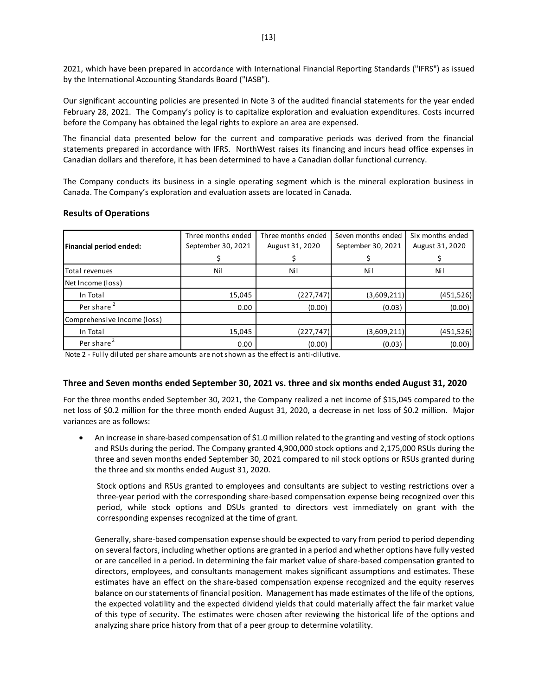2021, which have been prepared in accordance with International Financial Reporting Standards ("IFRS") as issued by the International Accounting Standards Board ("IASB").

Our significant accounting policies are presented in Note 3 of the audited financial statements for the year ended February 28, 2021. The Company's policy is to capitalize exploration and evaluation expenditures. Costs incurred before the Company has obtained the legal rights to explore an area are expensed.

The financial data presented below for the current and comparative periods was derived from the financial statements prepared in accordance with IFRS. NorthWest raises its financing and incurs head office expenses in Canadian dollars and therefore, it has been determined to have a Canadian dollar functional currency.

The Company conducts its business in a single operating segment which is the mineral exploration business in Canada. The Company's exploration and evaluation assets are located in Canada.

| Financial period ended:     | Three months ended<br>September 30, 2021 | Three months ended<br>August 31, 2020 | Seven months ended<br>September 30, 2021 | Six months ended<br>August 31, 2020 |
|-----------------------------|------------------------------------------|---------------------------------------|------------------------------------------|-------------------------------------|
|                             |                                          |                                       |                                          |                                     |
| Total revenues              | Nil                                      | Nil                                   | Nil                                      | Nil                                 |
| Net Income (loss)           |                                          |                                       |                                          |                                     |
| In Total                    | 15,045                                   | (227, 747)                            | (3,609,211)                              | (451, 526)                          |
| Per share <sup>2</sup>      | 0.00                                     | (0.00)                                | (0.03)                                   | (0.00)                              |
| Comprehensive Income (loss) |                                          |                                       |                                          |                                     |
| In Total                    | 15,045                                   | (227, 747)                            | (3,609,211)                              | (451, 526)                          |
| Per share <sup>2</sup>      | 0.00                                     | (0.00)                                | (0.03)                                   | (0.00)                              |

#### **Results of Operations**

Note 2 - Fully diluted per share amounts are not shown as the effect is anti-dilutive.

### **Three and Seven months ended September 30, 2021 vs. three and six months ended August 31, 2020**

For the three months ended September 30, 2021, the Company realized a net income of \$15,045 compared to the net loss of \$0.2 million for the three month ended August 31, 2020, a decrease in net loss of \$0.2 million. Major variances are as follows:

• An increase in share-based compensation of \$1.0 million related to the granting and vesting of stock options and RSUs during the period. The Company granted 4,900,000 stock options and 2,175,000 RSUs during the three and seven months ended September 30, 2021 compared to nil stock options or RSUs granted during the three and six months ended August 31, 2020.

Stock options and RSUs granted to employees and consultants are subject to vesting restrictions over a three-year period with the corresponding share-based compensation expense being recognized over this period, while stock options and DSUs granted to directors vest immediately on grant with the corresponding expenses recognized at the time of grant.

Generally, share-based compensation expense should be expected to vary from period to period depending on several factors, including whether options are granted in a period and whether options have fully vested or are cancelled in a period. In determining the fair market value of share-based compensation granted to directors, employees, and consultants management makes significant assumptions and estimates. These estimates have an effect on the share-based compensation expense recognized and the equity reserves balance on our statements of financial position. Management has made estimates of the life of the options, the expected volatility and the expected dividend yields that could materially affect the fair market value of this type of security. The estimates were chosen after reviewing the historical life of the options and analyzing share price history from that of a peer group to determine volatility.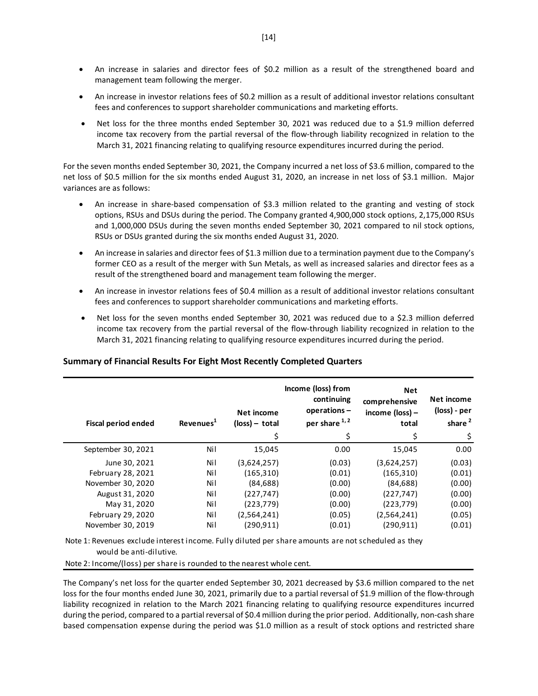- An increase in salaries and director fees of \$0.2 million as a result of the strengthened board and management team following the merger.
- An increase in investor relations fees of \$0.2 million as a result of additional investor relations consultant fees and conferences to support shareholder communications and marketing efforts.
- Net loss for the three months ended September 30, 2021 was reduced due to a \$1.9 million deferred income tax recovery from the partial reversal of the flow-through liability recognized in relation to the March 31, 2021 financing relating to qualifying resource expenditures incurred during the period.

For the seven months ended September 30, 2021, the Company incurred a net loss of \$3.6 million, compared to the net loss of \$0.5 million for the six months ended August 31, 2020, an increase in net loss of \$3.1 million. Major variances are as follows:

- An increase in share-based compensation of \$3.3 million related to the granting and vesting of stock options, RSUs and DSUs during the period. The Company granted 4,900,000 stock options, 2,175,000 RSUs and 1,000,000 DSUs during the seven months ended September 30, 2021 compared to nil stock options, RSUs or DSUs granted during the six months ended August 31, 2020.
- An increase in salaries and director fees of \$1.3 million due to a termination payment due to the Company's former CEO as a result of the merger with Sun Metals, as well as increased salaries and director fees as a result of the strengthened board and management team following the merger.
- An increase in investor relations fees of \$0.4 million as a result of additional investor relations consultant fees and conferences to support shareholder communications and marketing efforts.
- Net loss for the seven months ended September 30, 2021 was reduced due to a \$2.3 million deferred income tax recovery from the partial reversal of the flow-through liability recognized in relation to the March 31, 2021 financing relating to qualifying resource expenditures incurred during the period.

| <b>Fiscal period ended</b> | Revenues <sup>1</sup> | Net income<br>$(\text{loss})$ – total<br>\$ | Income (loss) from<br>continuing<br>operations-<br>per share 1,2<br>\$ | <b>Net</b><br>comprehensive<br>income (loss) -<br>total<br>\$ | Net income<br>(loss) - per<br>share <sup>2</sup><br>\$ |
|----------------------------|-----------------------|---------------------------------------------|------------------------------------------------------------------------|---------------------------------------------------------------|--------------------------------------------------------|
| September 30, 2021         | Ni l                  | 15,045                                      | 0.00                                                                   | 15,045                                                        | 0.00                                                   |
| June 30, 2021              | Nil                   | (3,624,257)                                 | (0.03)                                                                 | (3,624,257)                                                   | (0.03)                                                 |
| February 28, 2021          | Nil                   | (165, 310)                                  | (0.01)                                                                 | (165, 310)                                                    | (0.01)                                                 |
| November 30, 2020          | Ni l                  | (84, 688)                                   | (0.00)                                                                 | (84, 688)                                                     | (0.00)                                                 |
| August 31, 2020            | Nil                   | (227, 747)                                  | (0.00)                                                                 | (227, 747)                                                    | (0.00)                                                 |
| May 31, 2020               | Ni l                  | (223, 779)                                  | (0.00)                                                                 | (223, 779)                                                    | (0.00)                                                 |
| <b>February 29, 2020</b>   | Ni l                  | (2,564,241)                                 | (0.05)                                                                 | (2,564,241)                                                   | (0.05)                                                 |
| November 30, 2019          | Nil                   | (290,911)                                   | (0.01)                                                                 | (290.911)                                                     | (0.01)                                                 |

# **Summary of Financial Results For Eight Most Recently Completed Quarters**

Note 1: Revenues exclude interest income. Fully diluted per share amounts are not scheduled as they would be anti-dilutive.

Note 2: Income/(loss) per share is rounded to the nearest whole cent.

The Company's net loss for the quarter ended September 30, 2021 decreased by \$3.6 million compared to the net loss for the four months ended June 30, 2021, primarily due to a partial reversal of \$1.9 million of the flow-through liability recognized in relation to the March 2021 financing relating to qualifying resource expenditures incurred during the period, compared to a partial reversal of \$0.4 million during the prior period. Additionally, non-cash share based compensation expense during the period was \$1.0 million as a result of stock options and restricted share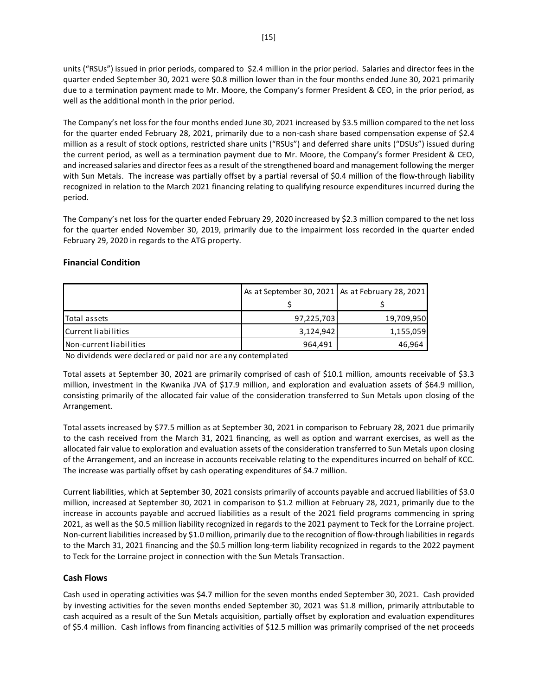units ("RSUs") issued in prior periods, compared to \$2.4 million in the prior period. Salaries and director fees in the quarter ended September 30, 2021 were \$0.8 million lower than in the four months ended June 30, 2021 primarily due to a termination payment made to Mr. Moore, the Company's former President & CEO, in the prior period, as well as the additional month in the prior period.

The Company's net loss for the four months ended June 30, 2021 increased by \$3.5 million compared to the net loss for the quarter ended February 28, 2021, primarily due to a non-cash share based compensation expense of \$2.4 million as a result of stock options, restricted share units ("RSUs") and deferred share units ("DSUs") issued during the current period, as well as a termination payment due to Mr. Moore, the Company's former President & CEO, and increased salaries and director fees as a result of the strengthened board and management following the merger with Sun Metals. The increase was partially offset by a partial reversal of \$0.4 million of the flow-through liability recognized in relation to the March 2021 financing relating to qualifying resource expenditures incurred during the period.

The Company's net loss for the quarter ended February 29, 2020 increased by \$2.3 million compared to the net loss for the quarter ended November 30, 2019, primarily due to the impairment loss recorded in the quarter ended February 29, 2020 in regards to the ATG property.

### **Financial Condition**

|                         | As at September 30, 2021   As at February 28, 2021 |            |
|-------------------------|----------------------------------------------------|------------|
|                         |                                                    |            |
| Total assets            | 97,225,703                                         | 19,709,950 |
| Current liabilities     | 3,124,942                                          | 1,155,059  |
| Non-current liabilities | 964,491                                            | 46,964     |

No dividends were declared or paid nor are any contemplated

Total assets at September 30, 2021 are primarily comprised of cash of \$10.1 million, amounts receivable of \$3.3 million, investment in the Kwanika JVA of \$17.9 million, and exploration and evaluation assets of \$64.9 million, consisting primarily of the allocated fair value of the consideration transferred to Sun Metals upon closing of the Arrangement.

Total assets increased by \$77.5 million as at September 30, 2021 in comparison to February 28, 2021 due primarily to the cash received from the March 31, 2021 financing, as well as option and warrant exercises, as well as the allocated fair value to exploration and evaluation assets of the consideration transferred to Sun Metals upon closing of the Arrangement, and an increase in accounts receivable relating to the expenditures incurred on behalf of KCC. The increase was partially offset by cash operating expenditures of \$4.7 million.

Current liabilities, which at September 30, 2021 consists primarily of accounts payable and accrued liabilities of \$3.0 million, increased at September 30, 2021 in comparison to \$1.2 million at February 28, 2021, primarily due to the increase in accounts payable and accrued liabilities as a result of the 2021 field programs commencing in spring 2021, as well as the \$0.5 million liability recognized in regards to the 2021 payment to Teck for the Lorraine project. Non-current liabilities increased by \$1.0 million, primarily due to the recognition of flow-through liabilities in regards to the March 31, 2021 financing and the \$0.5 million long-term liability recognized in regards to the 2022 payment to Teck for the Lorraine project in connection with the Sun Metals Transaction.

# **Cash Flows**

Cash used in operating activities was \$4.7 million for the seven months ended September 30, 2021. Cash provided by investing activities for the seven months ended September 30, 2021 was \$1.8 million, primarily attributable to cash acquired as a result of the Sun Metals acquisition, partially offset by exploration and evaluation expenditures of \$5.4 million. Cash inflows from financing activities of \$12.5 million was primarily comprised of the net proceeds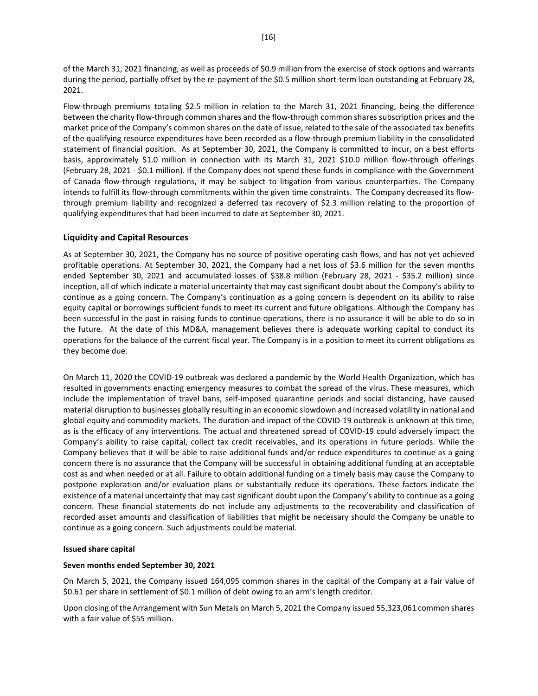of the March 31, 2021 financing, as well as proceeds of \$0.9 million from the exercise of stock options and warrants during the period, partially offset by the re-payment of the \$0.5 million short-term loan outstanding at February 28, 2021.

Flow-through premiums totaling \$2.5 million in relation to the March 31, 2021 financing, being the difference between the charity flow-through common shares and the flow-through common shares subscription prices and the market price of the Company's common shares on the date of issue, related to the sale of the associated tax benefits of the qualifying resource expenditures have been recorded as a flow-through premium liability in the consolidated statement of financial position. As at September 30, 2021, the Company is committed to incur, on a best efforts basis, approximately \$1.0 million in connection with its March 31, 2021 \$10.0 million flow-through offerings (February 28, 2021 - \$0.1 million). If the Company does not spend these funds in compliance with the Government of Canada flow-through regulations, it may be subject to litigation from various counterparties. The Company intends to fulfill its flow-through commitments within the given time constraints. The Company decreased its flowthrough premium liability and recognized a deferred tax recovery of \$2.3 million relating to the proportion of qualifying expenditures that had been incurred to date at September 30, 2021.

#### **Liquidity and Capital Resources**

As at September 30, 2021, the Company has no source of positive operating cash flows, and has not yet achieved profitable operations. At September 30, 2021, the Company had a net loss of \$3.6 million for the seven months ended September 30, 2021 and accumulated losses of \$38.8 million (February 28, 2021 - \$35.2 million) since inception, all of which indicate a material uncertainty that may cast significant doubt about the Company's ability to continue as a going concern. The Company's continuation as a going concern is dependent on its ability to raise equity capital or borrowings sufficient funds to meet its current and future obligations. Although the Company has been successful in the past in raising funds to continue operations, there is no assurance it will be able to do so in the future. At the date of this MD&A, management believes there is adequate working capital to conduct its operations for the balance of the current fiscal year. The Company is in a position to meet its current obligations as they become due.

On March 11, 2020 the COVID-19 outbreak was declared a pandemic by the World Health Organization, which has resulted in governments enacting emergency measures to combat the spread of the virus. These measures, which include the implementation of travel bans, self-imposed quarantine periods and social distancing, have caused material disruption to businesses globally resulting in an economic slowdown and increased volatility in national and global equity and commodity markets. The duration and impact of the COVID-19 outbreak is unknown at this time, as is the efficacy of any interventions. The actual and threatened spread of COVID-19 could adversely impact the Company's ability to raise capital, collect tax credit receivables, and its operations in future periods. While the Company believes that it will be able to raise additional funds and/or reduce expenditures to continue as a going concern there is no assurance that the Company will be successful in obtaining additional funding at an acceptable cost as and when needed or at all. Failure to obtain additional funding on a timely basis may cause the Company to postpone exploration and/or evaluation plans or substantially reduce its operations. These factors indicate the existence of a material uncertainty that may cast significant doubt upon the Company's ability to continue as a going concern. These financial statements do not include any adjustments to the recoverability and classification of recorded asset amounts and classification of liabilities that might be necessary should the Company be unable to continue as a going concern. Such adjustments could be material.

#### **Issued share capital**

#### **Seven months ended September 30, 2021**

On March 5, 2021, the Company issued 164,095 common shares in the capital of the Company at a fair value of \$0.61 per share in settlement of \$0.1 million of debt owing to an arm's length creditor.

Upon closing of the Arrangement with Sun Metals on March 5, 2021 the Company issued 55,323,061 common shares with a fair value of \$55 million.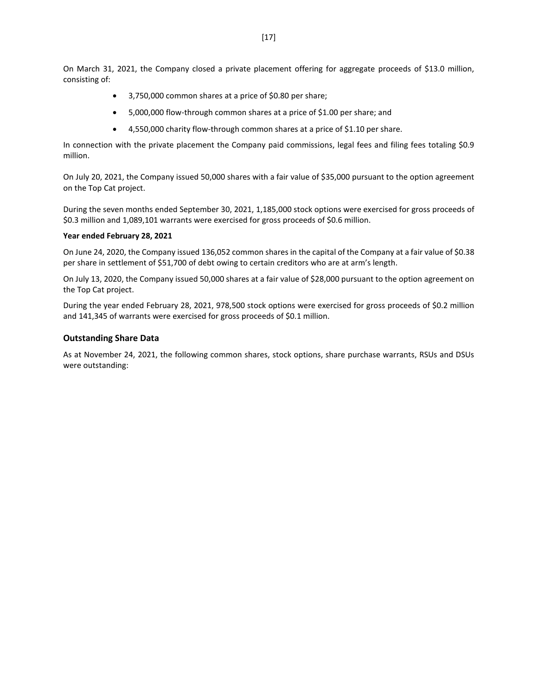On March 31, 2021, the Company closed a private placement offering for aggregate proceeds of \$13.0 million, consisting of:

- 3,750,000 common shares at a price of \$0.80 per share;
- 5,000,000 flow-through common shares at a price of \$1.00 per share; and
- 4,550,000 charity flow-through common shares at a price of \$1.10 per share.

In connection with the private placement the Company paid commissions, legal fees and filing fees totaling \$0.9 million.

On July 20, 2021, the Company issued 50,000 shares with a fair value of \$35,000 pursuant to the option agreement on the Top Cat project.

During the seven months ended September 30, 2021, 1,185,000 stock options were exercised for gross proceeds of \$0.3 million and 1,089,101 warrants were exercised for gross proceeds of \$0.6 million.

#### **Year ended February 28, 2021**

On June 24, 2020, the Company issued 136,052 common shares in the capital of the Company at a fair value of \$0.38 per share in settlement of \$51,700 of debt owing to certain creditors who are at arm's length.

On July 13, 2020, the Company issued 50,000 shares at a fair value of \$28,000 pursuant to the option agreement on the Top Cat project.

During the year ended February 28, 2021, 978,500 stock options were exercised for gross proceeds of \$0.2 million and 141,345 of warrants were exercised for gross proceeds of \$0.1 million.

#### **Outstanding Share Data**

As at November 24, 2021, the following common shares, stock options, share purchase warrants, RSUs and DSUs were outstanding: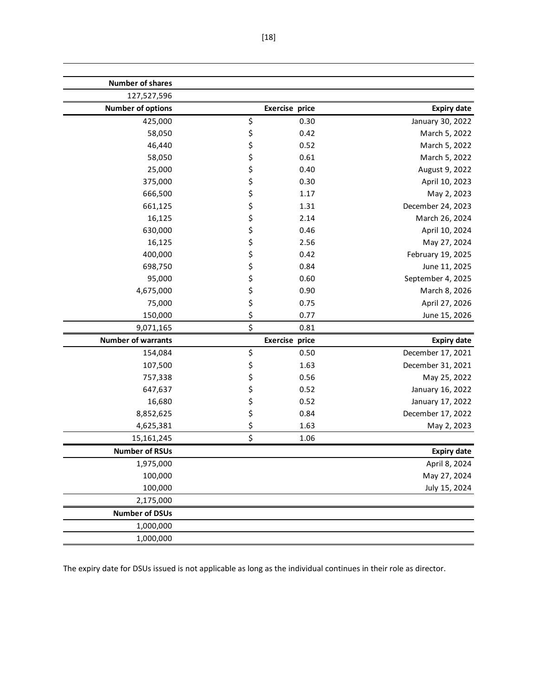| <b>Number of shares</b>   |                  |                       |                    |
|---------------------------|------------------|-----------------------|--------------------|
| 127,527,596               |                  |                       |                    |
| <b>Number of options</b>  |                  | <b>Exercise price</b> | <b>Expiry date</b> |
| 425,000                   | \$               | 0.30                  | January 30, 2022   |
| 58,050                    | \$               | 0.42                  | March 5, 2022      |
| 46,440                    | \$               | 0.52                  | March 5, 2022      |
| 58,050                    | \$               | 0.61                  | March 5, 2022      |
| 25,000                    | \$               | 0.40                  | August 9, 2022     |
| 375,000                   | \$               | 0.30                  | April 10, 2023     |
| 666,500                   | \$               | 1.17                  | May 2, 2023        |
| 661,125                   | \$               | 1.31                  | December 24, 2023  |
| 16,125                    | \$               | 2.14                  | March 26, 2024     |
| 630,000                   | \$               | 0.46                  | April 10, 2024     |
| 16,125                    | \$               | 2.56                  | May 27, 2024       |
| 400,000                   | \$               | 0.42                  | February 19, 2025  |
| 698,750                   | \$               | 0.84                  | June 11, 2025      |
| 95,000                    | \$               | 0.60                  | September 4, 2025  |
| 4,675,000                 | \$               | 0.90                  | March 8, 2026      |
| 75,000                    | \$               | 0.75                  | April 27, 2026     |
| 150,000                   | \$               | 0.77                  | June 15, 2026      |
| 9,071,165                 | $\overline{\xi}$ | 0.81                  |                    |
| <b>Number of warrants</b> |                  | <b>Exercise price</b> | <b>Expiry date</b> |
| 154,084                   | \$               | 0.50                  | December 17, 2021  |
| 107,500                   | \$               | 1.63                  | December 31, 2021  |
| 757,338                   | \$               | 0.56                  | May 25, 2022       |
| 647,637                   | \$               | 0.52                  | January 16, 2022   |
| 16,680                    | \$               | 0.52                  | January 17, 2022   |
| 8,852,625                 | \$               | 0.84                  | December 17, 2022  |
| 4,625,381                 | $\frac{1}{2}$    | 1.63                  | May 2, 2023        |
| 15,161,245                | \$               | 1.06                  |                    |
| <b>Number of RSUs</b>     |                  |                       | <b>Expiry date</b> |
| 1,975,000                 |                  |                       | April 8, 2024      |
| 100,000                   |                  |                       | May 27, 2024       |
| 100,000                   |                  |                       | July 15, 2024      |
| 2,175,000                 |                  |                       |                    |
| <b>Number of DSUs</b>     |                  |                       |                    |
| 1,000,000                 |                  |                       |                    |
|                           |                  |                       |                    |

The expiry date for DSUs issued is not applicable as long as the individual continues in their role as director.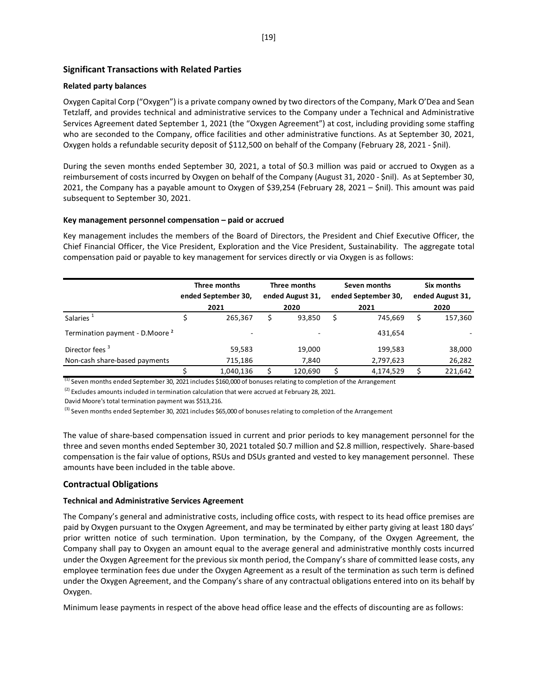### **Significant Transactions with Related Parties**

#### **Related party balances**

Oxygen Capital Corp ("Oxygen") is a private company owned by two directors of the Company, Mark O'Dea and Sean Tetzlaff, and provides technical and administrative services to the Company under a Technical and Administrative Services Agreement dated September 1, 2021 (the "Oxygen Agreement") at cost, including providing some staffing who are seconded to the Company, office facilities and other administrative functions. As at September 30, 2021, Oxygen holds a refundable security deposit of \$112,500 on behalf of the Company (February 28, 2021 - \$nil).

During the seven months ended September 30, 2021, a total of \$0.3 million was paid or accrued to Oxygen as a reimbursement of costs incurred by Oxygen on behalf of the Company (August 31, 2020 - \$nil). As at September 30, 2021, the Company has a payable amount to Oxygen of \$39,254 (February 28, 2021 – \$nil). This amount was paid subsequent to September 30, 2021.

#### **Key management personnel compensation – paid or accrued**

Key management includes the members of the Board of Directors, the President and Chief Executive Officer, the Chief Financial Officer, the Vice President, Exploration and the Vice President, Sustainability. The aggregate total compensation paid or payable to key management for services directly or via Oxygen is as follows:

|                                            | Three months<br>ended September 30, | Three months<br>ended August 31, | Seven months<br>ended September 30, | Six months<br>ended August 31, |
|--------------------------------------------|-------------------------------------|----------------------------------|-------------------------------------|--------------------------------|
|                                            | 2021                                | 2020                             | 2021                                | 2020                           |
| Salaries <sup>1</sup>                      | 265,367                             | 93,850                           | 745.669                             | \$<br>157,360                  |
| Termination payment - D.Moore <sup>2</sup> | $\overline{\phantom{0}}$            |                                  | 431,654                             |                                |
| Director fees <sup>3</sup>                 | 59,583                              | 19,000                           | 199,583                             | 38,000                         |
| Non-cash share-based payments              | 715,186                             | 7,840                            | 2,797,623                           | 26,282                         |
|                                            | 1,040,136                           | 120,690                          | 4,174,529                           | 221,642                        |

(1) Seven months ended September 30, 2021 includes \$160,000 of bonuses relating to completion of the Arrangement

 $(2)$  Excludes amounts included in termination calculation that were accrued at February 28, 2021.

David Moore's total termination payment was \$513,216.

<sup>(3)</sup> Seven months ended September 30, 2021 includes \$65,000 of bonuses relating to completion of the Arrangement

The value of share-based compensation issued in current and prior periods to key management personnel for the three and seven months ended September 30, 2021 totaled \$0.7 million and \$2.8 million, respectively. Share-based compensation is the fair value of options, RSUs and DSUs granted and vested to key management personnel. These amounts have been included in the table above.

### **Contractual Obligations**

#### **Technical and Administrative Services Agreement**

The Company's general and administrative costs, including office costs, with respect to its head office premises are paid by Oxygen pursuant to the Oxygen Agreement, and may be terminated by either party giving at least 180 days' prior written notice of such termination. Upon termination, by the Company, of the Oxygen Agreement, the Company shall pay to Oxygen an amount equal to the average general and administrative monthly costs incurred under the Oxygen Agreement for the previous six month period, the Company's share of committed lease costs, any employee termination fees due under the Oxygen Agreement as a result of the termination as such term is defined under the Oxygen Agreement, and the Company's share of any contractual obligations entered into on its behalf by Oxygen.

Minimum lease payments in respect of the above head office lease and the effects of discounting are as follows: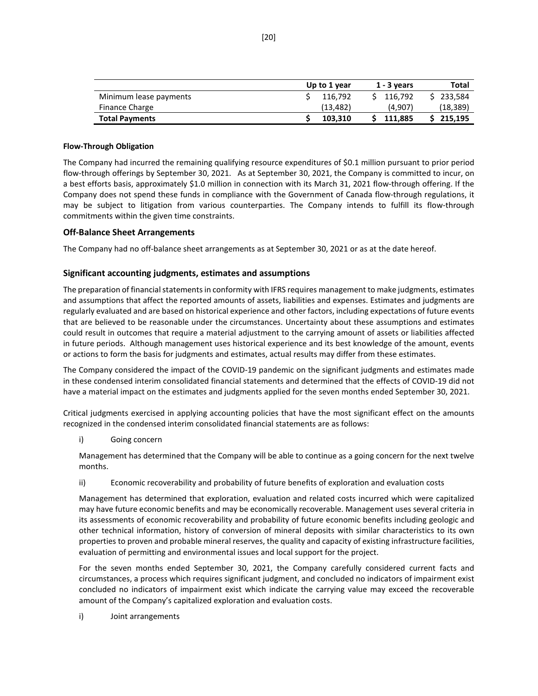|                        | Up to 1 year | $1 - 3$ years | Total     |
|------------------------|--------------|---------------|-----------|
| Minimum lease payments | 116.792      | 116.792       | \$233,584 |
| Finance Charge         | (13.482)     | (4.907)       | (18,389)  |
| <b>Total Payments</b>  | 103.310      | 111.885       | 215.195   |

#### **Flow-Through Obligation**

The Company had incurred the remaining qualifying resource expenditures of \$0.1 million pursuant to prior period flow-through offerings by September 30, 2021. As at September 30, 2021, the Company is committed to incur, on a best efforts basis, approximately \$1.0 million in connection with its March 31, 2021 flow-through offering. If the Company does not spend these funds in compliance with the Government of Canada flow-through regulations, it may be subject to litigation from various counterparties. The Company intends to fulfill its flow-through commitments within the given time constraints.

### **Off-Balance Sheet Arrangements**

The Company had no off-balance sheet arrangements as at September 30, 2021 or as at the date hereof.

### **Significant accounting judgments, estimates and assumptions**

The preparation of financial statements in conformity with IFRS requires management to make judgments, estimates and assumptions that affect the reported amounts of assets, liabilities and expenses. Estimates and judgments are regularly evaluated and are based on historical experience and other factors, including expectations of future events that are believed to be reasonable under the circumstances. Uncertainty about these assumptions and estimates could result in outcomes that require a material adjustment to the carrying amount of assets or liabilities affected in future periods. Although management uses historical experience and its best knowledge of the amount, events or actions to form the basis for judgments and estimates, actual results may differ from these estimates.

The Company considered the impact of the COVID-19 pandemic on the significant judgments and estimates made in these condensed interim consolidated financial statements and determined that the effects of COVID-19 did not have a material impact on the estimates and judgments applied for the seven months ended September 30, 2021.

Critical judgments exercised in applying accounting policies that have the most significant effect on the amounts recognized in the condensed interim consolidated financial statements are as follows:

i) Going concern

Management has determined that the Company will be able to continue as a going concern for the next twelve months.

ii) Economic recoverability and probability of future benefits of exploration and evaluation costs

Management has determined that exploration, evaluation and related costs incurred which were capitalized may have future economic benefits and may be economically recoverable. Management uses several criteria in its assessments of economic recoverability and probability of future economic benefits including geologic and other technical information, history of conversion of mineral deposits with similar characteristics to its own properties to proven and probable mineral reserves, the quality and capacity of existing infrastructure facilities, evaluation of permitting and environmental issues and local support for the project.

For the seven months ended September 30, 2021, the Company carefully considered current facts and circumstances, a process which requires significant judgment, and concluded no indicators of impairment exist concluded no indicators of impairment exist which indicate the carrying value may exceed the recoverable amount of the Company's capitalized exploration and evaluation costs.

i) Joint arrangements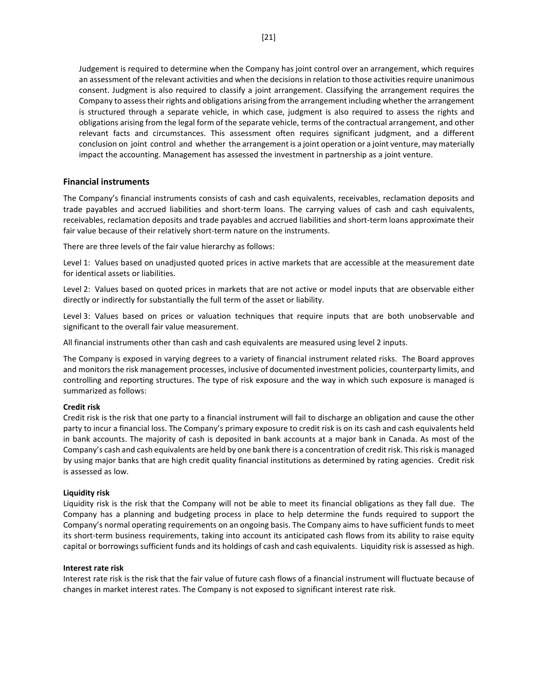Judgement is required to determine when the Company has joint control over an arrangement, which requires an assessment of the relevant activities and when the decisions in relation to those activities require unanimous consent. Judgment is also required to classify a joint arrangement. Classifying the arrangement requires the Company to assess their rights and obligations arising from the arrangement including whether the arrangement is structured through a separate vehicle, in which case, judgment is also required to assess the rights and obligations arising from the legal form of the separate vehicle, terms of the contractual arrangement, and other relevant facts and circumstances. This assessment often requires significant judgment, and a different conclusion on joint control and whether the arrangement is a joint operation or a joint venture, may materially impact the accounting. Management has assessed the investment in partnership as a joint venture.

### **Financial instruments**

The Company's financial instruments consists of cash and cash equivalents, receivables, reclamation deposits and trade payables and accrued liabilities and short-term loans. The carrying values of cash and cash equivalents, receivables, reclamation deposits and trade payables and accrued liabilities and short-term loans approximate their fair value because of their relatively short-term nature on the instruments.

There are three levels of the fair value hierarchy as follows:

Level 1: Values based on unadjusted quoted prices in active markets that are accessible at the measurement date for identical assets or liabilities.

Level 2: Values based on quoted prices in markets that are not active or model inputs that are observable either directly or indirectly for substantially the full term of the asset or liability.

Level 3: Values based on prices or valuation techniques that require inputs that are both unobservable and significant to the overall fair value measurement.

All financial instruments other than cash and cash equivalents are measured using level 2 inputs.

The Company is exposed in varying degrees to a variety of financial instrument related risks. The Board approves and monitors the risk management processes, inclusive of documented investment policies, counterparty limits, and controlling and reporting structures. The type of risk exposure and the way in which such exposure is managed is summarized as follows:

### **Credit risk**

Credit risk is the risk that one party to a financial instrument will fail to discharge an obligation and cause the other party to incur a financial loss. The Company's primary exposure to credit risk is on its cash and cash equivalents held in bank accounts. The majority of cash is deposited in bank accounts at a major bank in Canada. As most of the Company's cash and cash equivalents are held by one bank there is a concentration of credit risk. This risk is managed by using major banks that are high credit quality financial institutions as determined by rating agencies. Credit risk is assessed as low.

### **Liquidity risk**

Liquidity risk is the risk that the Company will not be able to meet its financial obligations as they fall due. The Company has a planning and budgeting process in place to help determine the funds required to support the Company's normal operating requirements on an ongoing basis. The Company aims to have sufficient funds to meet its short-term business requirements, taking into account its anticipated cash flows from its ability to raise equity capital or borrowings sufficient funds and its holdings of cash and cash equivalents. Liquidity risk is assessed as high.

#### **Interest rate risk**

Interest rate risk is the risk that the fair value of future cash flows of a financial instrument will fluctuate because of changes in market interest rates. The Company is not exposed to significant interest rate risk.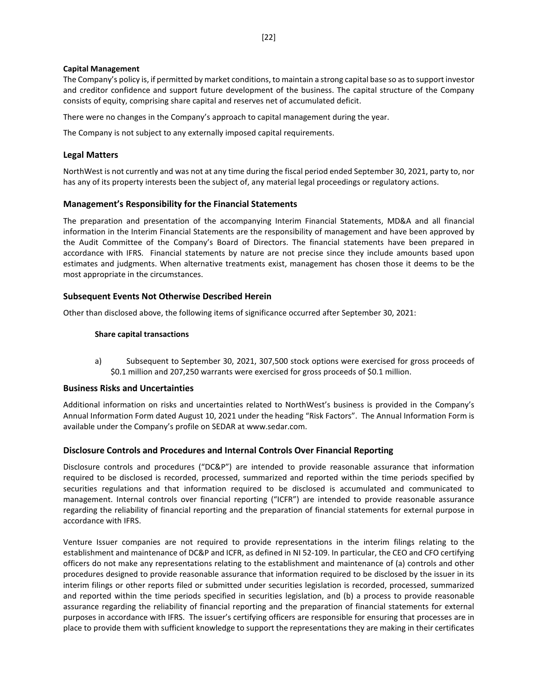#### **Capital Management**

The Company's policy is, if permitted by market conditions, to maintain a strong capital base so as to support investor and creditor confidence and support future development of the business. The capital structure of the Company consists of equity, comprising share capital and reserves net of accumulated deficit.

There were no changes in the Company's approach to capital management during the year.

The Company is not subject to any externally imposed capital requirements.

### **Legal Matters**

NorthWest is not currently and was not at any time during the fiscal period ended September 30, 2021, party to, nor has any of its property interests been the subject of, any material legal proceedings or regulatory actions.

### **Management's Responsibility for the Financial Statements**

The preparation and presentation of the accompanying Interim Financial Statements, MD&A and all financial information in the Interim Financial Statements are the responsibility of management and have been approved by the Audit Committee of the Company's Board of Directors. The financial statements have been prepared in accordance with IFRS. Financial statements by nature are not precise since they include amounts based upon estimates and judgments. When alternative treatments exist, management has chosen those it deems to be the most appropriate in the circumstances.

#### **Subsequent Events Not Otherwise Described Herein**

Other than disclosed above, the following items of significance occurred after September 30, 2021:

#### **Share capital transactions**

a) Subsequent to September 30, 2021, 307,500 stock options were exercised for gross proceeds of \$0.1 million and 207,250 warrants were exercised for gross proceeds of \$0.1 million.

### **Business Risks and Uncertainties**

Additional information on risks and uncertainties related to NorthWest's business is provided in the Company's Annual Information Form dated August 10, 2021 under the heading "Risk Factors". The Annual Information Form is available under the Company's profile on SEDAR at www.sedar.com.

### **Disclosure Controls and Procedures and Internal Controls Over Financial Reporting**

Disclosure controls and procedures ("DC&P") are intended to provide reasonable assurance that information required to be disclosed is recorded, processed, summarized and reported within the time periods specified by securities regulations and that information required to be disclosed is accumulated and communicated to management. Internal controls over financial reporting ("ICFR") are intended to provide reasonable assurance regarding the reliability of financial reporting and the preparation of financial statements for external purpose in accordance with IFRS.

Venture Issuer companies are not required to provide representations in the interim filings relating to the establishment and maintenance of DC&P and ICFR, as defined in NI 52-109. In particular, the CEO and CFO certifying officers do not make any representations relating to the establishment and maintenance of (a) controls and other procedures designed to provide reasonable assurance that information required to be disclosed by the issuer in its interim filings or other reports filed or submitted under securities legislation is recorded, processed, summarized and reported within the time periods specified in securities legislation, and (b) a process to provide reasonable assurance regarding the reliability of financial reporting and the preparation of financial statements for external purposes in accordance with IFRS. The issuer's certifying officers are responsible for ensuring that processes are in place to provide them with sufficient knowledge to support the representations they are making in their certificates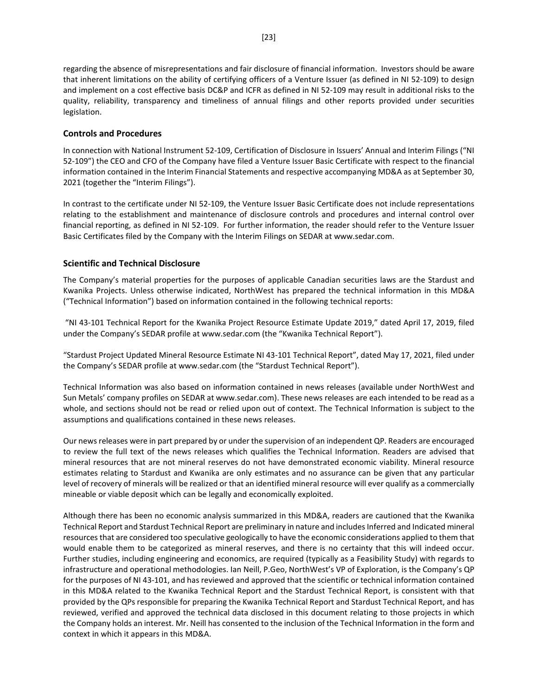regarding the absence of misrepresentations and fair disclosure of financial information. Investors should be aware that inherent limitations on the ability of certifying officers of a Venture Issuer (as defined in NI 52-109) to design and implement on a cost effective basis DC&P and ICFR as defined in NI 52-109 may result in additional risks to the quality, reliability, transparency and timeliness of annual filings and other reports provided under securities legislation.

### **Controls and Procedures**

In connection with National Instrument 52-109, Certification of Disclosure in Issuers' Annual and Interim Filings ("NI 52-109") the CEO and CFO of the Company have filed a Venture Issuer Basic Certificate with respect to the financial information contained in the Interim Financial Statements and respective accompanying MD&A as at September 30, 2021 (together the "Interim Filings").

In contrast to the certificate under NI 52-109, the Venture Issuer Basic Certificate does not include representations relating to the establishment and maintenance of disclosure controls and procedures and internal control over financial reporting, as defined in NI 52-109. For further information, the reader should refer to the Venture Issuer Basic Certificates filed by the Company with the Interim Filings on SEDAR at www.sedar.com.

### **Scientific and Technical Disclosure**

The Company's material properties for the purposes of applicable Canadian securities laws are the Stardust and Kwanika Projects. Unless otherwise indicated, NorthWest has prepared the technical information in this MD&A ("Technical Information") based on information contained in the following technical reports:

"NI 43-101 Technical Report for the Kwanika Project Resource Estimate Update 2019," dated April 17, 2019, filed under the Company's SEDAR profile at [www.sedar.com](http://www.sedar.com/) (the "Kwanika Technical Report").

"Stardust Project Updated Mineral Resource Estimate NI 43-101 Technical Report", dated May 17, 2021, filed under the Company's SEDAR profile a[t www.sedar.com](http://www.sedar.com/) (the "Stardust Technical Report").

Technical Information was also based on information contained in news releases (available under NorthWest and Sun Metals' company profiles on SEDAR at www.sedar.com). These news releases are each intended to be read as a whole, and sections should not be read or relied upon out of context. The Technical Information is subject to the assumptions and qualifications contained in these news releases.

Our news releases were in part prepared by or under the supervision of an independent QP. Readers are encouraged to review the full text of the news releases which qualifies the Technical Information. Readers are advised that mineral resources that are not mineral reserves do not have demonstrated economic viability. Mineral resource estimates relating to Stardust and Kwanika are only estimates and no assurance can be given that any particular level of recovery of minerals will be realized or that an identified mineral resource will ever qualify as a commercially mineable or viable deposit which can be legally and economically exploited.

Although there has been no economic analysis summarized in this MD&A, readers are cautioned that the Kwanika Technical Report and Stardust Technical Report are preliminary in nature and includes Inferred and Indicated mineral resources that are considered too speculative geologically to have the economic considerations applied to them that would enable them to be categorized as mineral reserves, and there is no certainty that this will indeed occur. Further studies, including engineering and economics, are required (typically as a Feasibility Study) with regards to infrastructure and operational methodologies. Ian Neill, P.Geo, NorthWest's VP of Exploration, is the Company's QP for the purposes of NI 43-101, and has reviewed and approved that the scientific or technical information contained in this MD&A related to the Kwanika Technical Report and the Stardust Technical Report, is consistent with that provided by the QPs responsible for preparing the Kwanika Technical Report and Stardust Technical Report, and has reviewed, verified and approved the technical data disclosed in this document relating to those projects in which the Company holds an interest. Mr. Neill has consented to the inclusion of the Technical Information in the form and context in which it appears in this MD&A.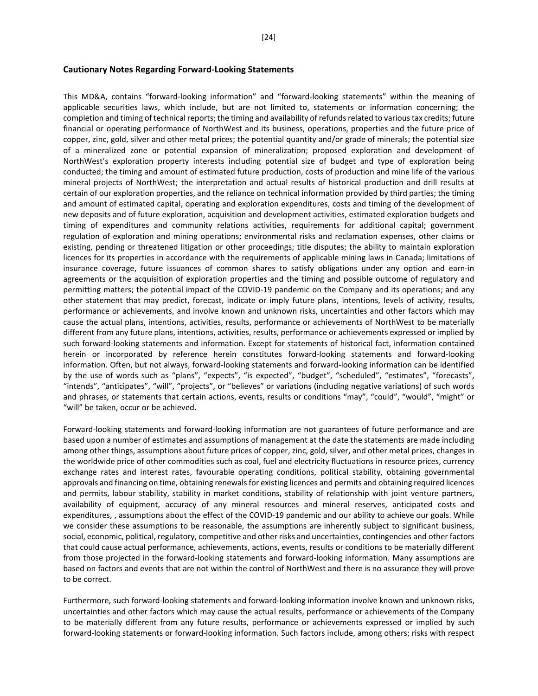#### **Cautionary Notes Regarding Forward-Looking Statements**

This MD&A, contains "forward-looking information" and "forward-looking statements" within the meaning of applicable securities laws, which include, but are not limited to, statements or information concerning; the completion and timing of technical reports; the timing and availability of refunds related to various tax credits; future financial or operating performance of NorthWest and its business, operations, properties and the future price of copper, zinc, gold, silver and other metal prices; the potential quantity and/or grade of minerals; the potential size of a mineralized zone or potential expansion of mineralization; proposed exploration and development of NorthWest's exploration property interests including potential size of budget and type of exploration being conducted; the timing and amount of estimated future production, costs of production and mine life of the various mineral projects of NorthWest; the interpretation and actual results of historical production and drill results at certain of our exploration properties, and the reliance on technical information provided by third parties; the timing and amount of estimated capital, operating and exploration expenditures, costs and timing of the development of new deposits and of future exploration, acquisition and development activities, estimated exploration budgets and timing of expenditures and community relations activities, requirements for additional capital; government regulation of exploration and mining operations; environmental risks and reclamation expenses, other claims or existing, pending or threatened litigation or other proceedings; title disputes; the ability to maintain exploration licences for its properties in accordance with the requirements of applicable mining laws in Canada; limitations of insurance coverage, future issuances of common shares to satisfy obligations under any option and earn-in agreements or the acquisition of exploration properties and the timing and possible outcome of regulatory and permitting matters; the potential impact of the COVID-19 pandemic on the Company and its operations; and any other statement that may predict, forecast, indicate or imply future plans, intentions, levels of activity, results, performance or achievements, and involve known and unknown risks, uncertainties and other factors which may cause the actual plans, intentions, activities, results, performance or achievements of NorthWest to be materially different from any future plans, intentions, activities, results, performance or achievements expressed or implied by such forward-looking statements and information. Except for statements of historical fact, information contained herein or incorporated by reference herein constitutes forward-looking statements and forward-looking information. Often, but not always, forward-looking statements and forward-looking information can be identified by the use of words such as "plans", "expects", "is expected", "budget", "scheduled", "estimates", "forecasts", "intends", "anticipates", "will", "projects", or "believes" or variations (including negative variations) of such words and phrases, or statements that certain actions, events, results or conditions "may", "could", "would", "might" or "will" be taken, occur or be achieved.

Forward-looking statements and forward-looking information are not guarantees of future performance and are based upon a number of estimates and assumptions of management at the date the statements are made including among other things, assumptions about future prices of copper, zinc, gold, silver, and other metal prices, changes in the worldwide price of other commodities such as coal, fuel and electricity fluctuations in resource prices, currency exchange rates and interest rates, favourable operating conditions, political stability, obtaining governmental approvals and financing on time, obtaining renewals for existing licences and permits and obtaining required licences and permits, labour stability, stability in market conditions, stability of relationship with joint venture partners, availability of equipment, accuracy of any mineral resources and mineral reserves, anticipated costs and expenditures, , assumptions about the effect of the COVID-19 pandemic and our ability to achieve our goals. While we consider these assumptions to be reasonable, the assumptions are inherently subject to significant business, social, economic, political, regulatory, competitive and other risks and uncertainties, contingencies and other factors that could cause actual performance, achievements, actions, events, results or conditions to be materially different from those projected in the forward-looking statements and forward-looking information. Many assumptions are based on factors and events that are not within the control of NorthWest and there is no assurance they will prove to be correct.

Furthermore, such forward-looking statements and forward-looking information involve known and unknown risks, uncertainties and other factors which may cause the actual results, performance or achievements of the Company to be materially different from any future results, performance or achievements expressed or implied by such forward-looking statements or forward-looking information. Such factors include, among others; risks with respect